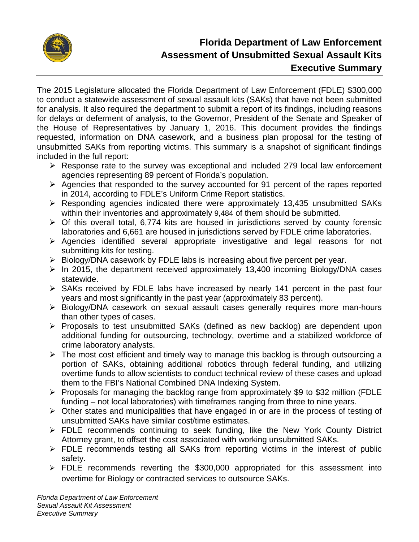

# **Florida Department of Law Enforcement Assessment of Unsubmitted Sexual Assault Kits Executive Summary**

The 2015 Legislature allocated the Florida Department of Law Enforcement (FDLE) \$300,000 to conduct a statewide assessment of sexual assault kits (SAKs) that have not been submitted for analysis. It also required the department to submit a report of its findings, including reasons for delays or deferment of analysis, to the Governor, President of the Senate and Speaker of the House of Representatives by January 1, 2016. This document provides the findings requested, information on DNA casework, and a business plan proposal for the testing of unsubmitted SAKs from reporting victims. This summary is a snapshot of significant findings included in the full report:

- $\triangleright$  Response rate to the survey was exceptional and included 279 local law enforcement agencies representing 89 percent of Florida's population.
- $\triangleright$  Agencies that responded to the survey accounted for 91 percent of the rapes reported in 2014, according to FDLE's Uniform Crime Report statistics.
- $\triangleright$  Responding agencies indicated there were approximately 13,435 unsubmitted SAKs within their inventories and approximately 9,484 of them should be submitted.
- $\triangleright$  Of this overall total, 6,774 kits are housed in jurisdictions served by county forensic laboratories and 6,661 are housed in jurisdictions served by FDLE crime laboratories.
- Agencies identified several appropriate investigative and legal reasons for not submitting kits for testing.
- $\triangleright$  Biology/DNA casework by FDLE labs is increasing about five percent per year.
- $\triangleright$  In 2015, the department received approximately 13,400 incoming Biology/DNA cases statewide.
- $\triangleright$  SAKs received by FDLE labs have increased by nearly 141 percent in the past four years and most significantly in the past year (approximately 83 percent).
- Biology/DNA casework on sexual assault cases generally requires more man-hours than other types of cases.
- $\triangleright$  Proposals to test unsubmitted SAKs (defined as new backlog) are dependent upon additional funding for outsourcing, technology, overtime and a stabilized workforce of crime laboratory analysts.
- $\triangleright$  The most cost efficient and timely way to manage this backlog is through outsourcing a portion of SAKs, obtaining additional robotics through federal funding, and utilizing overtime funds to allow scientists to conduct technical review of these cases and upload them to the FBI's National Combined DNA Indexing System.
- $\triangleright$  Proposals for managing the backlog range from approximately \$9 to \$32 million (FDLE funding – not local laboratories) with timeframes ranging from three to nine years.
- Other states and municipalities that have engaged in or are in the process of testing of unsubmitted SAKs have similar cost/time estimates.
- FDLE recommends continuing to seek funding, like the New York County District Attorney grant, to offset the cost associated with working unsubmitted SAKs.
- $\triangleright$  FDLE recommends testing all SAKs from reporting victims in the interest of public safety.
- $\triangleright$  FDLE recommends reverting the \$300,000 appropriated for this assessment into overtime for Biology or contracted services to outsource SAKs.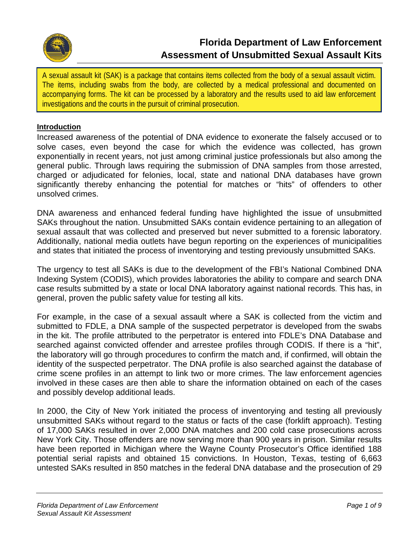

A sexual assault kit (SAK) is a package that contains items collected from the body of a sexual assault victim. The items, including swabs from the body, are collected by a medical professional and documented on accompanying forms. The kit can be processed by a laboratory and the results used to aid law enforcement investigations and the courts in the pursuit of criminal prosecution.

#### **Introduction**

Increased awareness of the potential of DNA evidence to exonerate the falsely accused or to solve cases, even beyond the case for which the evidence was collected, has grown exponentially in recent years, not just among criminal justice professionals but also among the general public. Through laws requiring the submission of DNA samples from those arrested, charged or adjudicated for felonies, local, state and national DNA databases have grown significantly thereby enhancing the potential for matches or "hits" of offenders to other unsolved crimes.

DNA awareness and enhanced federal funding have highlighted the issue of unsubmitted SAKs throughout the nation. Unsubmitted SAKs contain evidence pertaining to an allegation of sexual assault that was collected and preserved but never submitted to a forensic laboratory. Additionally, national media outlets have begun reporting on the experiences of municipalities and states that initiated the process of inventorying and testing previously unsubmitted SAKs.

The urgency to test all SAKs is due to the development of the FBI's National Combined DNA Indexing System (CODIS), which provides laboratories the ability to compare and search DNA case results submitted by a state or local DNA laboratory against national records. This has, in general, proven the public safety value for testing all kits.

For example, in the case of a sexual assault where a SAK is collected from the victim and submitted to FDLE, a DNA sample of the suspected perpetrator is developed from the swabs in the kit. The profile attributed to the perpetrator is entered into FDLE's DNA Database and searched against convicted offender and arrestee profiles through CODIS. If there is a "hit", the laboratory will go through procedures to confirm the match and, if confirmed, will obtain the identity of the suspected perpetrator. The DNA profile is also searched against the database of crime scene profiles in an attempt to link two or more crimes. The law enforcement agencies involved in these cases are then able to share the information obtained on each of the cases and possibly develop additional leads.

In 2000, the City of New York initiated the process of inventorying and testing all previously unsubmitted SAKs without regard to the status or facts of the case (forklift approach). Testing of 17,000 SAKs resulted in over 2,000 DNA matches and 200 cold case prosecutions across New York City. Those offenders are now serving more than 900 years in prison. Similar results have been reported in Michigan where the Wayne County Prosecutor's Office identified 188 potential serial rapists and obtained 15 convictions. In Houston, Texas, testing of 6,663 untested SAKs resulted in 850 matches in the federal DNA database and the prosecution of 29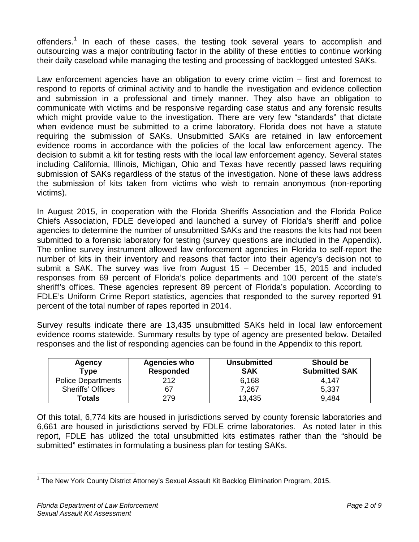offenders.<sup>[1](#page-2-0)</sup> In each of these cases, the testing took several years to accomplish and outsourcing was a major contributing factor in the ability of these entities to continue working their daily caseload while managing the testing and processing of backlogged untested SAKs.

Law enforcement agencies have an obligation to every crime victim – first and foremost to respond to reports of criminal activity and to handle the investigation and evidence collection and submission in a professional and timely manner. They also have an obligation to communicate with victims and be responsive regarding case status and any forensic results which might provide value to the investigation. There are very few "standards" that dictate when evidence must be submitted to a crime laboratory. Florida does not have a statute requiring the submission of SAKs. Unsubmitted SAKs are retained in law enforcement evidence rooms in accordance with the policies of the local law enforcement agency. The decision to submit a kit for testing rests with the local law enforcement agency. Several states including California, Illinois, Michigan, Ohio and Texas have recently passed laws requiring submission of SAKs regardless of the status of the investigation. None of these laws address the submission of kits taken from victims who wish to remain anonymous (non-reporting victims).

In August 2015, in cooperation with the Florida Sheriffs Association and the Florida Police Chiefs Association, FDLE developed and launched a survey of Florida's sheriff and police agencies to determine the number of unsubmitted SAKs and the reasons the kits had not been submitted to a forensic laboratory for testing (survey questions are included in the Appendix). The online survey instrument allowed law enforcement agencies in Florida to self-report the number of kits in their inventory and reasons that factor into their agency's decision not to submit a SAK. The survey was live from August 15 – December 15, 2015 and included responses from 69 percent of Florida's police departments and 100 percent of the state's sheriff's offices. These agencies represent 89 percent of Florida's population. According to FDLE's Uniform Crime Report statistics, agencies that responded to the survey reported 91 percent of the total number of rapes reported in 2014.

Survey results indicate there are 13,435 unsubmitted SAKs held in local law enforcement evidence rooms statewide. Summary results by type of agency are presented below. Detailed responses and the list of responding agencies can be found in the Appendix to this report.

| Agency<br><b>Type</b>     | <b>Agencies who</b><br><b>Responded</b> | <b>Unsubmitted</b><br><b>SAK</b> | Should be<br><b>Submitted SAK</b> |
|---------------------------|-----------------------------------------|----------------------------------|-----------------------------------|
| <b>Police Departments</b> | 212                                     | 6.168                            | 4.147                             |
| <b>Sheriffs' Offices</b>  | 67                                      | 7.267                            | 5,337                             |
| Totals                    | 279                                     | 13,435                           | 9,484                             |

Of this total, 6,774 kits are housed in jurisdictions served by county forensic laboratories and 6,661 are housed in jurisdictions served by FDLE crime laboratories. As noted later in this report, FDLE has utilized the total unsubmitted kits estimates rather than the "should be submitted" estimates in formulating a business plan for testing SAKs.

<span id="page-2-0"></span> $1$  The New York County District Attorney's Sexual Assault Kit Backlog Elimination Program, 2015.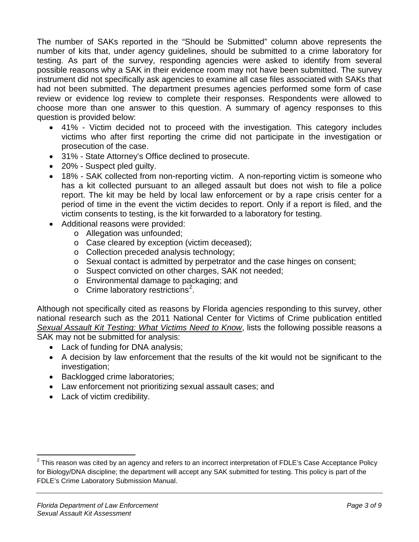The number of SAKs reported in the "Should be Submitted" column above represents the number of kits that, under agency guidelines, should be submitted to a crime laboratory for testing. As part of the survey, responding agencies were asked to identify from several possible reasons why a SAK in their evidence room may not have been submitted. The survey instrument did not specifically ask agencies to examine all case files associated with SAKs that had not been submitted. The department presumes agencies performed some form of case review or evidence log review to complete their responses. Respondents were allowed to choose more than one answer to this question. A summary of agency responses to this question is provided below:

- 41% Victim decided not to proceed with the investigation. This category includes victims who after first reporting the crime did not participate in the investigation or prosecution of the case.
- 31% State Attorney's Office declined to prosecute.
- 20% Suspect pled quilty.
- 18% SAK collected from non-reporting victim. A non-reporting victim is someone who has a kit collected pursuant to an alleged assault but does not wish to file a police report. The kit may be held by local law enforcement or by a rape crisis center for a period of time in the event the victim decides to report. Only if a report is filed, and the victim consents to testing, is the kit forwarded to a laboratory for testing.
- Additional reasons were provided:
	- o Allegation was unfounded;
	- o Case cleared by exception (victim deceased);
	- o Collection preceded analysis technology;
	- o Sexual contact is admitted by perpetrator and the case hinges on consent;
	- o Suspect convicted on other charges, SAK not needed;
	- o Environmental damage to packaging; and
	- $\circ$  Crime laboratory restrictions<sup>[2](#page-3-0)</sup>.

Although not specifically cited as reasons by Florida agencies responding to this survey, other national research such as the 2011 National Center for Victims of Crime publication entitled *Sexual Assault Kit Testing: What Victims Need to Know*, lists the following possible reasons a SAK may not be submitted for analysis:

- Lack of funding for DNA analysis;
- A decision by law enforcement that the results of the kit would not be significant to the investigation;
- Backlogged crime laboratories;
- Law enforcement not prioritizing sexual assault cases; and
- Lack of victim credibility.

<span id="page-3-0"></span> $2$  This reason was cited by an agency and refers to an incorrect interpretation of FDLE's Case Acceptance Policy for Biology/DNA discipline; the department will accept any SAK submitted for testing. This policy is part of the FDLE's Crime Laboratory Submission Manual.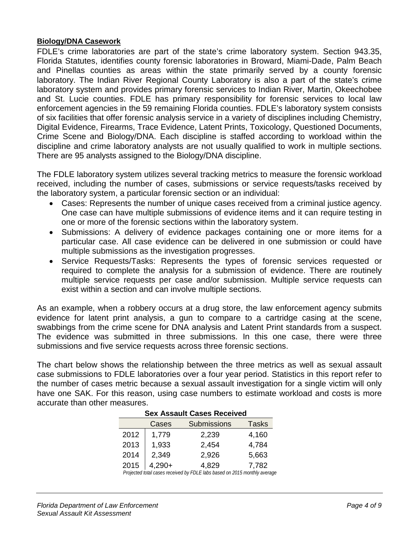#### **Biology/DNA Casework**

FDLE's crime laboratories are part of the state's crime laboratory system. Section 943.35, Florida Statutes, identifies county forensic laboratories in Broward, Miami-Dade, Palm Beach and Pinellas counties as areas within the state primarily served by a county forensic laboratory. The Indian River Regional County Laboratory is also a part of the state's crime laboratory system and provides primary forensic services to Indian River, Martin, Okeechobee and St. Lucie counties. FDLE has primary responsibility for forensic services to local law enforcement agencies in the 59 remaining Florida counties. FDLE's laboratory system consists of six facilities that offer forensic analysis service in a variety of disciplines including Chemistry, Digital Evidence, Firearms, Trace Evidence, Latent Prints, Toxicology, Questioned Documents, Crime Scene and Biology/DNA. Each discipline is staffed according to workload within the discipline and crime laboratory analysts are not usually qualified to work in multiple sections. There are 95 analysts assigned to the Biology/DNA discipline.

The FDLE laboratory system utilizes several tracking metrics to measure the forensic workload received, including the number of cases, submissions or service requests/tasks received by the laboratory system, a particular forensic section or an individual:

- Cases: Represents the number of unique cases received from a criminal justice agency. One case can have multiple submissions of evidence items and it can require testing in one or more of the forensic sections within the laboratory system.
- Submissions: A delivery of evidence packages containing one or more items for a particular case. All case evidence can be delivered in one submission or could have multiple submissions as the investigation progresses.
- Service Requests/Tasks: Represents the types of forensic services requested or required to complete the analysis for a submission of evidence. There are routinely multiple service requests per case and/or submission. Multiple service requests can exist within a section and can involve multiple sections.

As an example, when a robbery occurs at a drug store, the law enforcement agency submits evidence for latent print analysis, a gun to compare to a cartridge casing at the scene, swabbings from the crime scene for DNA analysis and Latent Print standards from a suspect. The evidence was submitted in three submissions. In this one case, there were three submissions and five service requests across three forensic sections.

The chart below shows the relationship between the three metrics as well as sexual assault case submissions to FDLE laboratories over a four year period. Statistics in this report refer to the number of cases metric because a sexual assault investigation for a single victim will only have one SAK. For this reason, using case numbers to estimate workload and costs is more accurate than other measures.

| SEX ASSAUIL CASES RECEIVEU |          |                                                                           |              |  |  |  |  |
|----------------------------|----------|---------------------------------------------------------------------------|--------------|--|--|--|--|
|                            | Cases    | <b>Submissions</b>                                                        | <b>Tasks</b> |  |  |  |  |
| 2012                       | 1,779    | 2,239                                                                     | 4,160        |  |  |  |  |
| 2013                       | 1,933    | 2,454                                                                     | 4,784        |  |  |  |  |
| 2014                       | 2,349    | 2,926                                                                     | 5,663        |  |  |  |  |
| 2015                       | $4,290+$ | 4,829                                                                     | 7,782        |  |  |  |  |
|                            |          | Draigated total cases resolved by EDLE labs based on 2015 monthly average |              |  |  |  |  |

## **Sex Assault Cases Received**

*Projected total cases received by FDLE labs based on 2015 monthly average*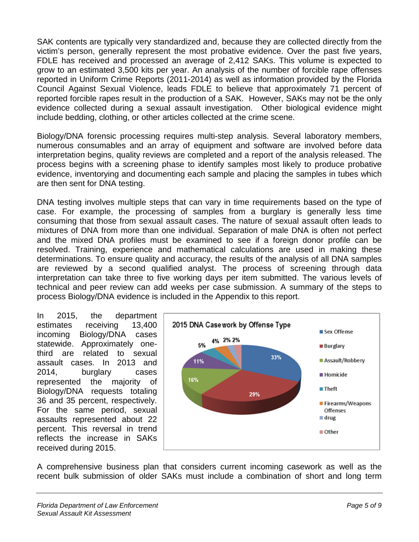SAK contents are typically very standardized and, because they are collected directly from the victim's person, generally represent the most probative evidence. Over the past five years, FDLE has received and processed an average of 2,412 SAKs. This volume is expected to grow to an estimated 3,500 kits per year. An analysis of the number of forcible rape offenses reported in Uniform Crime Reports (2011-2014) as well as information provided by the Florida Council Against Sexual Violence, leads FDLE to believe that approximately 71 percent of reported forcible rapes result in the production of a SAK. However, SAKs may not be the only evidence collected during a sexual assault investigation. Other biological evidence might include bedding, clothing, or other articles collected at the crime scene.

Biology/DNA forensic processing requires multi-step analysis. Several laboratory members, numerous consumables and an array of equipment and software are involved before data interpretation begins, quality reviews are completed and a report of the analysis released. The process begins with a screening phase to identify samples most likely to produce probative evidence, inventorying and documenting each sample and placing the samples in tubes which are then sent for DNA testing.

DNA testing involves multiple steps that can vary in time requirements based on the type of case. For example, the processing of samples from a burglary is generally less time consuming that those from sexual assault cases. The nature of sexual assault often leads to mixtures of DNA from more than one individual. Separation of male DNA is often not perfect and the mixed DNA profiles must be examined to see if a foreign donor profile can be resolved. Training, experience and mathematical calculations are used in making these determinations. To ensure quality and accuracy, the results of the analysis of all DNA samples are reviewed by a second qualified analyst. The process of screening through data interpretation can take three to five working days per item submitted. The various levels of technical and peer review can add weeks per case submission. A summary of the steps to process Biology/DNA evidence is included in the Appendix to this report.

In 2015, the department estimates receiving 13,400 incoming Biology/DNA cases statewide. Approximately onethird are related to sexual assault cases. In 2013 and 2014, burglary cases represented the majority of Biology/DNA requests totaling 36 and 35 percent, respectively. For the same period, sexual assaults represented about 22 percent. This reversal in trend reflects the increase in SAKs received during 2015.



A comprehensive business plan that considers current incoming casework as well as the recent bulk submission of older SAKs must include a combination of short and long term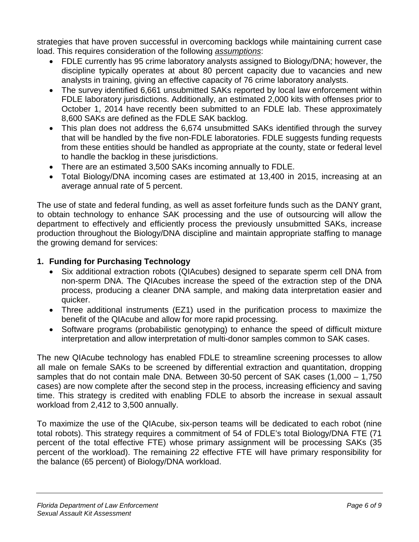strategies that have proven successful in overcoming backlogs while maintaining current case load. This requires consideration of the following *assumptions*:

- FDLE currently has 95 crime laboratory analysts assigned to Biology/DNA; however, the discipline typically operates at about 80 percent capacity due to vacancies and new analysts in training, giving an effective capacity of 76 crime laboratory analysts.
- The survey identified 6,661 unsubmitted SAKs reported by local law enforcement within FDLE laboratory jurisdictions. Additionally, an estimated 2,000 kits with offenses prior to October 1, 2014 have recently been submitted to an FDLE lab. These approximately 8,600 SAKs are defined as the FDLE SAK backlog.
- This plan does not address the 6,674 unsubmitted SAKs identified through the survey that will be handled by the five non-FDLE laboratories. FDLE suggests funding requests from these entities should be handled as appropriate at the county, state or federal level to handle the backlog in these jurisdictions.
- There are an estimated 3,500 SAKs incoming annually to FDLE.
- Total Biology/DNA incoming cases are estimated at 13,400 in 2015, increasing at an average annual rate of 5 percent.

The use of state and federal funding, as well as asset forfeiture funds such as the DANY grant, to obtain technology to enhance SAK processing and the use of outsourcing will allow the department to effectively and efficiently process the previously unsubmitted SAKs, increase production throughout the Biology/DNA discipline and maintain appropriate staffing to manage the growing demand for services:

## **1. Funding for Purchasing Technology**

- Six additional extraction robots (QIAcubes) designed to separate sperm cell DNA from non-sperm DNA. The QIAcubes increase the speed of the extraction step of the DNA process, producing a cleaner DNA sample, and making data interpretation easier and quicker.
- Three additional instruments (EZ1) used in the purification process to maximize the benefit of the QIAcube and allow for more rapid processing.
- Software programs (probabilistic genotyping) to enhance the speed of difficult mixture interpretation and allow interpretation of multi-donor samples common to SAK cases.

The new QIAcube technology has enabled FDLE to streamline screening processes to allow all male on female SAKs to be screened by differential extraction and quantitation, dropping samples that do not contain male DNA. Between 30-50 percent of SAK cases (1,000 – 1,750 cases) are now complete after the second step in the process, increasing efficiency and saving time. This strategy is credited with enabling FDLE to absorb the increase in sexual assault workload from 2,412 to 3,500 annually.

To maximize the use of the QIAcube, six-person teams will be dedicated to each robot (nine total robots). This strategy requires a commitment of 54 of FDLE's total Biology/DNA FTE (71 percent of the total effective FTE) whose primary assignment will be processing SAKs (35 percent of the workload). The remaining 22 effective FTE will have primary responsibility for the balance (65 percent) of Biology/DNA workload.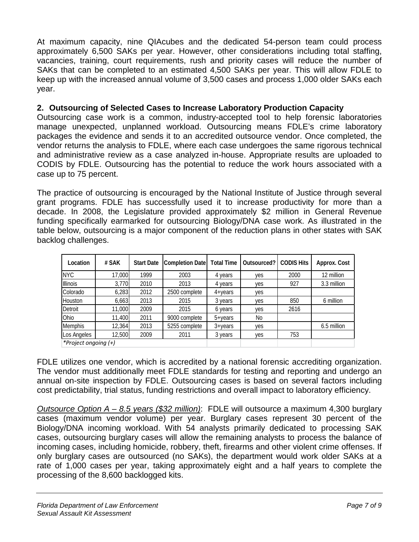At maximum capacity, nine QIAcubes and the dedicated 54-person team could process approximately 6,500 SAKs per year. However, other considerations including total staffing, vacancies, training, court requirements, rush and priority cases will reduce the number of SAKs that can be completed to an estimated 4,500 SAKs per year. This will allow FDLE to keep up with the increased annual volume of 3,500 cases and process 1,000 older SAKs each year.

#### **2. Outsourcing of Selected Cases to Increase Laboratory Production Capacity**

Outsourcing case work is a common, industry-accepted tool to help forensic laboratories manage unexpected, unplanned workload. Outsourcing means FDLE's crime laboratory packages the evidence and sends it to an accredited outsource vendor. Once completed, the vendor returns the analysis to FDLE, where each case undergoes the same rigorous technical and administrative review as a case analyzed in-house. Appropriate results are uploaded to CODIS by FDLE. Outsourcing has the potential to reduce the work hours associated with a case up to 75 percent.

The practice of outsourcing is encouraged by the National Institute of Justice through several grant programs. FDLE has successfully used it to increase productivity for more than a decade. In 2008, the Legislature provided approximately \$2 million in General Revenue funding specifically earmarked for outsourcing Biology/DNA case work. As illustrated in the table below, outsourcing is a major component of the reduction plans in other states with SAK backlog challenges.

| Location             | # SAK  | <b>Start Date</b> | Completion Date Total Time |                   | Outsourced? | <b>CODIS Hits</b> | Approx. Cost |
|----------------------|--------|-------------------|----------------------------|-------------------|-------------|-------------------|--------------|
| <b>NYC</b>           | 17,000 | 1999              | 2003                       | 4 years           | yes         | 2000              | 12 million   |
| Illinois             | 3,770  | 2010              | 2013                       | 4 years           | yes         | 927               | 3.3 million  |
| Colorado             | 6.283  | 2012              | 2500 complete              | $4 + \vee$ ears   | yes         |                   |              |
| <b>Houston</b>       | 6,663  | 2013              | 2015                       | 3 years           | yes         | 850               | 6 million    |
| Detroit              | 11,000 | 2009              | 2015                       | 6 years           | yes         | 2616              |              |
| Ohio                 | 11,400 | 2011              | 9000 complete              | $5 + \gamma$ ears | No          |                   |              |
| Memphis              | 12,364 | 2013              | 5255 complete              | $3 + \gamma$ ears | yes         |                   | 6.5 million  |
| Los Angeles          | 12,500 | 2009              | 2011                       | 3 years           | yes         | 753               |              |
| *Project ongoing (+) |        |                   |                            |                   |             |                   |              |

FDLE utilizes one vendor, which is accredited by a national forensic accrediting organization. The vendor must additionally meet FDLE standards for testing and reporting and undergo an annual on-site inspection by FDLE. Outsourcing cases is based on several factors including cost predictability, trial status, funding restrictions and overall impact to laboratory efficiency.

*Outsource Option A – 8.5 years (\$32 million)*: FDLE will outsource a maximum 4,300 burglary cases (maximum vendor volume) per year. Burglary cases represent 30 percent of the Biology/DNA incoming workload. With 54 analysts primarily dedicated to processing SAK cases, outsourcing burglary cases will allow the remaining analysts to process the balance of incoming cases, including homicide, robbery, theft, firearms and other violent crime offenses. If only burglary cases are outsourced (no SAKs), the department would work older SAKs at a rate of 1,000 cases per year, taking approximately eight and a half years to complete the processing of the 8,600 backlogged kits.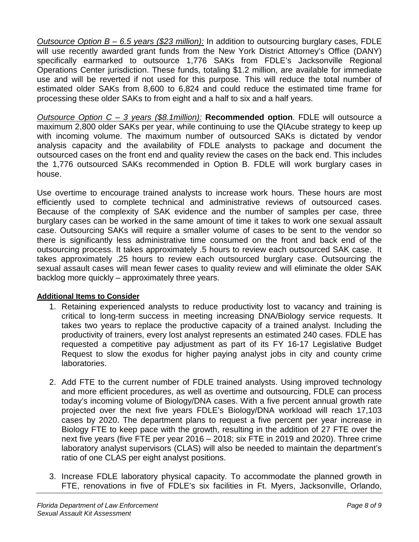*Outsource Option B – 6.5 years (\$23 million):* In addition to outsourcing burglary cases, FDLE will use recently awarded grant funds from the New York District Attorney's Office (DANY) specifically earmarked to outsource 1,776 SAKs from FDLE's Jacksonville Regional Operations Center jurisdiction. These funds, totaling \$1.2 million, are available for immediate use and will be reverted if not used for this purpose. This will reduce the total number of estimated older SAKs from 8,600 to 6,824 and could reduce the estimated time frame for processing these older SAKs to from eight and a half to six and a half years.

*Outsource Option C – 3 years (\$8.1million):* **Recommended option**. FDLE will outsource a maximum 2,800 older SAKs per year, while continuing to use the QIAcube strategy to keep up with incoming volume. The maximum number of outsourced SAKs is dictated by vendor analysis capacity and the availability of FDLE analysts to package and document the outsourced cases on the front end and quality review the cases on the back end. This includes the 1,776 outsourced SAKs recommended in Option B. FDLE will work burglary cases in house.

Use overtime to encourage trained analysts to increase work hours. These hours are most efficiently used to complete technical and administrative reviews of outsourced cases. Because of the complexity of SAK evidence and the number of samples per case, three burglary cases can be worked in the same amount of time it takes to work one sexual assault case. Outsourcing SAKs will require a smaller volume of cases to be sent to the vendor so there is significantly less administrative time consumed on the front and back end of the outsourcing process. It takes approximately .5 hours to review each outsourced SAK case. It takes approximately .25 hours to review each outsourced burglary case. Outsourcing the sexual assault cases will mean fewer cases to quality review and will eliminate the older SAK backlog more quickly – approximately three years.

#### **Additional Items to Consider**

- 1. Retaining experienced analysts to reduce productivity lost to vacancy and training is critical to long-term success in meeting increasing DNA/Biology service requests. It takes two years to replace the productive capacity of a trained analyst. Including the productivity of trainers, every lost analyst represents an estimated 240 cases. FDLE has requested a competitive pay adjustment as part of its FY 16-17 Legislative Budget Request to slow the exodus for higher paying analyst jobs in city and county crime laboratories.
- 2. Add FTE to the current number of FDLE trained analysts. Using improved technology and more efficient procedures, as well as overtime and outsourcing, FDLE can process today's incoming volume of Biology/DNA cases. With a five percent annual growth rate projected over the next five years FDLE's Biology/DNA workload will reach 17,103 cases by 2020. The department plans to request a five percent per year increase in Biology FTE to keep pace with the growth, resulting in the addition of 27 FTE over the next five years (five FTE per year 2016 – 2018; six FTE in 2019 and 2020). Three crime laboratory analyst supervisors (CLAS) will also be needed to maintain the department's ratio of one CLAS per eight analyst positions.
- 3. Increase FDLE laboratory physical capacity. To accommodate the planned growth in FTE, renovations in five of FDLE's six facilities in Ft. Myers, Jacksonville, Orlando,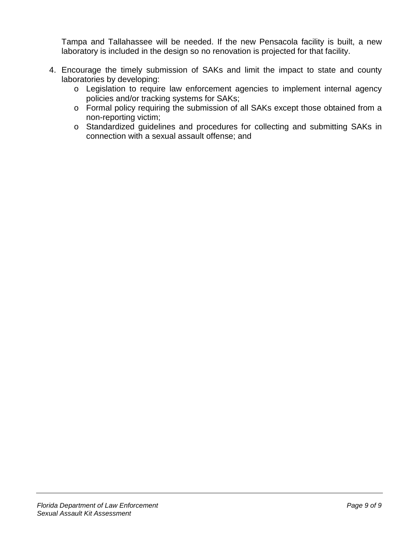Tampa and Tallahassee will be needed. If the new Pensacola facility is built, a new laboratory is included in the design so no renovation is projected for that facility.

- 4. Encourage the timely submission of SAKs and limit the impact to state and county laboratories by developing:
	- o Legislation to require law enforcement agencies to implement internal agency policies and/or tracking systems for SAKs;
	- o Formal policy requiring the submission of all SAKs except those obtained from a non-reporting victim;
	- o Standardized guidelines and procedures for collecting and submitting SAKs in connection with a sexual assault offense; and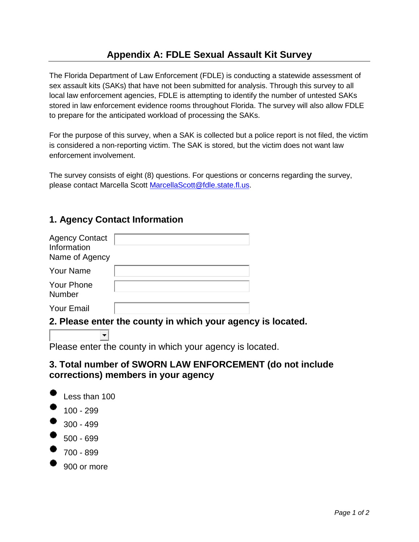# **Appendix A: FDLE Sexual Assault Kit Survey**

The Florida Department of Law Enforcement (FDLE) is conducting a statewide assessment of sex assault kits (SAKs) that have not been submitted for analysis. Through this survey to all local law enforcement agencies, FDLE is attempting to identify the number of untested SAKs stored in law enforcement evidence rooms throughout Florida. The survey will also allow FDLE to prepare for the anticipated workload of processing the SAKs.

For the purpose of this survey, when a SAK is collected but a police report is not filed, the victim is considered a non-reporting victim. The SAK is stored, but the victim does not want law enforcement involvement.

The survey consists of eight (8) questions. For questions or concerns regarding the survey, please contact Marcella Scott [MarcellaScott@fdle.state.fl.us.](mailto:MarcellaScott@fdle.state.fl.us)

# **1. Agency Contact Information**

 $\blacksquare$ 

| <b>Agency Contact</b><br>Information<br>Name of Agency |  |
|--------------------------------------------------------|--|
| <b>Your Name</b>                                       |  |
| <b>Your Phone</b><br>Number                            |  |
| <b>Your Email</b>                                      |  |

## **2. Please enter the county in which your agency is located.**

Please enter the county in which your agency is located.

## **3. Total number of SWORN LAW ENFORCEMENT (do not include corrections) members in your agency**



900 or more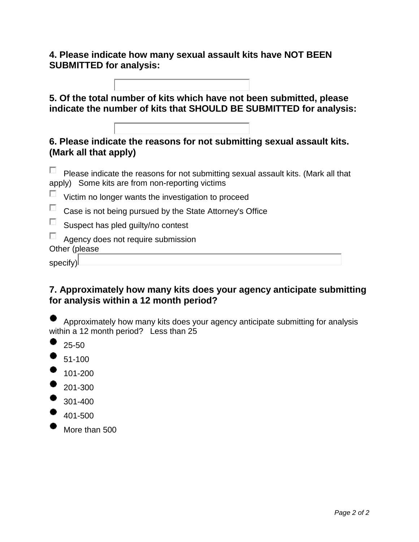## **4. Please indicate how many sexual assault kits have NOT BEEN SUBMITTED for analysis:**

Г

| 5. Of the total number of kits which have not been submitted, please<br>indicate the number of kits that SHOULD BE SUBMITTED for analysis: |
|--------------------------------------------------------------------------------------------------------------------------------------------|
| 6. Please indicate the reasons for not submitting sexual assault kits.<br>(Mark all that apply)                                            |
| Please indicate the reasons for not submitting sexual assault kits. (Mark all that<br>apply) Some kits are from non-reporting victims      |
| Victim no longer wants the investigation to proceed                                                                                        |
| Case is not being pursued by the State Attorney's Office                                                                                   |
| Suspect has pled guilty/no contest                                                                                                         |
| Agency does not require submission<br>Other (please                                                                                        |
| specify                                                                                                                                    |

# **7. Approximately how many kits does your agency anticipate submitting for analysis within a 12 month period?**

Approximately how many kits does your agency anticipate submitting for analysis within a 12 month period? Less than 25

25-50

51-100

101-200

- 201-300
- 301-400
- 401-500
- More than 500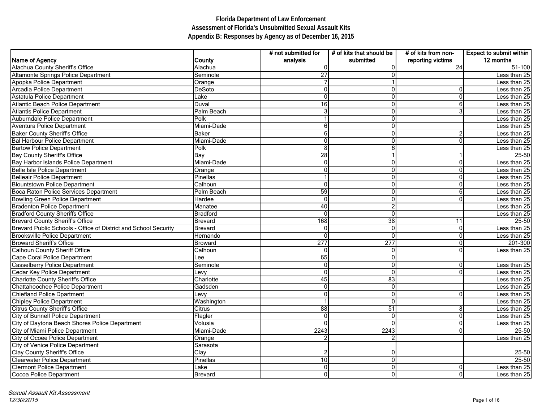|                                                                 |                | # not submitted for | # of kits that should be | # of kits from non- | <b>Expect to submit within</b> |
|-----------------------------------------------------------------|----------------|---------------------|--------------------------|---------------------|--------------------------------|
| Name of Agency                                                  | County         | analysis            | submitted                | reporting victims   | 12 months                      |
| Alachua County Sheriff's Office                                 | Alachua        | $\Omega$            |                          | 24                  | 51-100                         |
| Altamonte Springs Police Department                             | Seminole       | 27                  |                          |                     | Less than 25                   |
| Apopka Police Department                                        | Orange         |                     |                          |                     | Less than 25                   |
| Arcadia Police Department                                       | DeSoto         | ∩                   | 0                        | 0                   | Less than 25                   |
| Astatula Police Department                                      | Lake           | $\mathbf 0$         | 0                        | $\mathbf 0$         | Less than 25                   |
| Atlantic Beach Police Department                                | Duval          | 16                  | 0                        | 6                   | Less than 25                   |
| Atlantis Police Department                                      | Palm Beach     |                     | 0                        | 3                   | Less than 25                   |
| Auburndale Police Department                                    | Polk           |                     | ŋ                        |                     | Less than 25                   |
| Aventura Police Department                                      | Miami-Dade     |                     | O                        |                     | Less than 25                   |
| <b>Baker County Sheriff's Office</b>                            | <b>Baker</b>   |                     | O                        | 2                   | Less than 25                   |
| <b>Bal Harbour Police Department</b>                            | Miami-Dade     |                     |                          | 0                   | Less than 25                   |
| <b>Bartow Police Department</b>                                 | Polk           | 8                   | 6                        |                     | Less than 25                   |
| <b>Bay County Sheriff's Office</b>                              | Bay            | 28                  |                          |                     | 25-50                          |
| Bay Harbor Islands Police Department                            | Miami-Dade     | $\Omega$            | 0                        | 0                   | Less than 25                   |
| Belle Isle Police Department                                    | Orange         |                     | O                        | 0                   | Less than 25                   |
| Belleair Police Department                                      | Pinellas       |                     |                          | 0                   | Less than 25                   |
| <b>Blountstown Police Department</b>                            | Calhoun        | 0                   | O                        | 0                   | Less than 25                   |
| Boca Raton Police Services Department                           | Palm Beach     | 59                  | 0                        | 6                   | Less than 25                   |
| <b>Bowling Green Police Department</b>                          | Hardee         | $\mathbf 0$         | 0                        | 0                   | Less than 25                   |
| <b>Bradenton Police Department</b>                              | Manatee        | 40                  | 2                        |                     | Less than 25                   |
| <b>Bradford County Sheriffs Office</b>                          | Bradford       | $\mathbf{0}$        | $\Omega$                 |                     | Less than 25                   |
| <b>Brevard County Sheriff's Office</b>                          | <b>Brevard</b> | 168                 | 38                       | 11                  | 25-50                          |
| Brevard Public Schools - Office of District and School Security | Brevard        | ∩                   | $\Omega$                 | 0                   | Less than 25                   |
| <b>Brooksville Police Department</b>                            | Hernando       |                     |                          | 0                   | Less than 25                   |
| <b>Broward Sheriff's Office</b>                                 | <b>Broward</b> | 277                 | 277                      | 0                   | 201-300                        |
| <b>Calhoun County Sheriff Office</b>                            | Calhoun        | $\Omega$            | 0                        | 0                   | Less than 25                   |
| Cape Coral Police Department                                    | Lee            | 65                  | 0                        |                     |                                |
| <b>Casselberry Police Department</b>                            | Seminole       | $\Omega$            | 0                        | 0                   | Less than 25                   |
| Cedar Key Police Department                                     | Levy           | $\Omega$            | 0                        | 0                   | Less than 25                   |
| <b>Charlotte County Sheriff's Office</b>                        | Charlotte      | 45                  | 83                       |                     | Less than 25                   |
| Chattahoochee Police Department                                 | Gadsden        | $\Omega$            | 0                        |                     | Less than 25                   |
| <b>Chiefland Police Dpartment</b>                               | Levy           | ∩                   | 0                        | 0                   | Less than 25                   |
| <b>Chipley Police Department</b>                                | Washington     |                     | 0                        |                     | Less than 25                   |
| Citrus County Sheriff's Office                                  | Citrus         | 88                  | 51                       | 8                   | Less than 25                   |
| City of Bunnell Police Department                               | Flagler        | 0                   | 0                        | 0                   | Less than 25                   |
| City of Daytona Beach Shores Police Department                  | Volusia        | $\Omega$            |                          | $\overline{0}$      | Less than 25                   |
| City of Miami Police Department                                 | Miami-Dade     | 2243                | 2243                     | 0                   | 25-50                          |
| City of Ocoee Police Department                                 | Orange         |                     |                          |                     | Less than 25                   |
| City of Venice Police Department                                | Sarasota       |                     |                          |                     |                                |
| Clay County Sheriff's Office                                    | Clay           | $\overline{2}$      | 0                        |                     | $25 - 50$                      |
| <b>Clearwater Police Department</b>                             | Pinellas       | 10                  | 0                        |                     | $25 - 50$                      |
| <b>Clermont Police Department</b>                               | Lake           | $\pmb{0}$           | $\overline{0}$           | 0                   | Less than 25                   |
| Cocoa Police Department                                         | <b>Brevard</b> | $\pmb{0}$           | $\overline{0}$           | 0                   | Less than 25                   |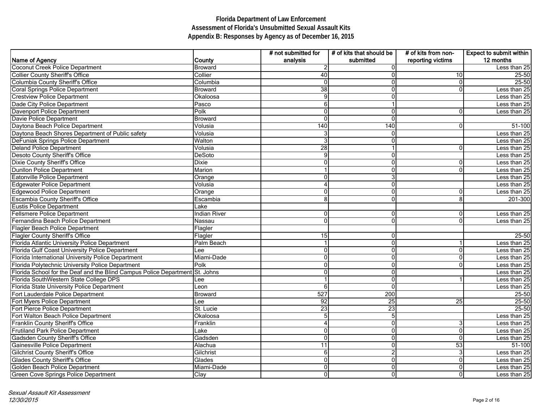|                                                                              |                     | # not submitted for | # of kits that should be | # of kits from non- | <b>Expect to submit within</b> |
|------------------------------------------------------------------------------|---------------------|---------------------|--------------------------|---------------------|--------------------------------|
| Name of Agency                                                               | County              | analysis            | submitted                | reporting victims   | 12 months                      |
| Coconut Creek Police Department                                              | <b>Broward</b>      | $\overline{2}$      |                          |                     | Less than 25                   |
| <b>Collier County Sheriff's Office</b>                                       | Collier             | 40                  |                          | 10                  | 25-50                          |
| <b>Columbia County Sheriff's Office</b>                                      | Columbia            | $\mathbf 0$         |                          | 0                   | $25 - 50$                      |
| <b>Coral Springs Police Department</b>                                       | <b>Broward</b>      | 38                  | ∩                        | 0                   | Less than 25                   |
| <b>Crestview Police Department</b>                                           | Okaloosa            | $\overline{9}$      | n                        |                     | Less than 25                   |
| Dade City Police Department                                                  | Pasco               | 6                   |                          |                     | Less than 25                   |
| <b>Davenport Police Department</b>                                           | Polk                | $\mathbf 0$         | 0                        | 0                   | Less than 25                   |
| Davie Police Department                                                      | <b>Broward</b>      | $\mathbf 0$         | ∩                        |                     |                                |
| Daytona Beach Police Department                                              | Volusia             | 140                 | 140                      | 0                   | 51-100                         |
| Daytona Beach Shores Department of Public safety                             | Volusia             |                     |                          |                     | Less than 25                   |
| DeFuniak Springs Police Department                                           | Walton              |                     |                          |                     | Less than 25                   |
| <b>Deland Police Department</b>                                              | Volusia             | 28                  |                          | 0                   | Less than 25                   |
| <b>Desoto County Sheriff's Office</b>                                        | <b>DeSoto</b>       | 9                   | ŋ                        |                     | Less than 25                   |
| Dixie County Sheriff's Office                                                | <b>Dixie</b>        | 0                   | 0                        | 0                   | Less than 25                   |
| <b>Dunllon Police Department</b>                                             | Marion              |                     |                          | 0                   | Less than 25                   |
| Eatonville Police Department                                                 | Orange              |                     |                          |                     | Less than 25                   |
| <b>Edgewater Police Department</b>                                           | Volusia             |                     |                          |                     | Less than $25$                 |
| <b>Edgewood Police Department</b>                                            | Orange              |                     |                          | 0                   | Less than 25                   |
| Escambia County Sheriff's Office                                             | Escambia            | 8                   | 0                        | 8                   | 201-300                        |
| <b>Eustis Police Department</b>                                              | Lake                |                     |                          |                     |                                |
| <b>Fellsmere Police Department</b>                                           | <b>Indian River</b> | $\overline{0}$      | 0                        | 0                   | Less than 25                   |
| Fernandina Beach Police Department                                           | Nassau              | $\overline{0}$      | $\Omega$                 | 0                   | Less than 25                   |
| Flagler Beach Police Department                                              | Flagler             |                     |                          |                     |                                |
| <b>Flagler County Sheriff's Office</b>                                       | Flagler             | 15                  | 0                        |                     | 25-50                          |
| Florida Atlantic University Police Department                                | Palm Beach          |                     | ∩                        | -1                  | Less than 25                   |
| Florida Gulf Coast University Police Department                              | Lee                 | 0                   | ∩                        | 0                   | Less than 25                   |
| Florida International University Police Department                           | Miami-Dade          | $\Omega$            | ∩                        | 0                   | Less than 25                   |
| Florida Polytechnic University Police Department                             | Polk                | 0                   |                          | 0                   | Less than 25                   |
| Florida School for the Deaf and the Blind Campus Police Department St. Johns |                     | 0                   | 0                        |                     | Less than 25                   |
| Florida SouthWestern State College DPS                                       | Lee                 |                     | 0                        | 1                   | Less than 25                   |
| Florida State University Police Department                                   | Leon                | 6                   | ∩                        |                     | Less than 25                   |
| Fort Lauderdale Police Department                                            | <b>Broward</b>      | 527                 | 200                      |                     | 25-50                          |
| Fort Myers Police Department                                                 | Lee                 | 92                  | $\overline{25}$          | 25                  | 25-50                          |
| Fort Pierce Police Department                                                | St. Lucie           | 23                  | 23                       |                     | 25-50                          |
| Fort Walton Beach Police Department                                          | Okaloosa            | ა                   | b.                       |                     | Less than 25                   |
| Franklin County Sheriff's Office                                             | Franklin            |                     | 0                        | 3                   | Less than 25                   |
| <b>Frutiland Park Police Department</b>                                      | Lake                | 0                   | 0                        | 0                   | Less than 25                   |
| Gadsden County Sheriff's Office                                              | Gadsden             | $\overline{0}$      | ∩                        | $\mathbf 0$         | Less than 25                   |
| Gainesville Police Department                                                | Alachua             | 11                  |                          | 53                  | 51-100                         |
| Gilchrist County Sheriff's Office                                            | Gilchrist           | 6                   |                          | 3                   | Less than 25                   |
| <b>Glades County Sheriff's Office</b>                                        | Glades              | $\Omega$            | 0                        | 0                   | Less than 25                   |
| Golden Beach Police Department                                               | Miami-Dade          | 0                   | 0                        | 0                   | Less than 25                   |
| <b>Green Cove Springs Police Department</b>                                  | Clay                | $\overline{0}$      | 0                        | 0                   | Less than 25                   |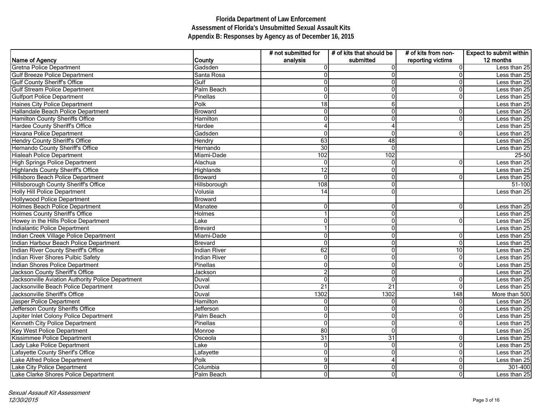|                                                   |                     | # not submitted for | # of kits that should be | $#$ of kits from non- | <b>Expect to submit within</b> |
|---------------------------------------------------|---------------------|---------------------|--------------------------|-----------------------|--------------------------------|
| Name of Agency                                    | County              | analysis            | submitted                | reporting victims     | 12 months                      |
| Gretna Police Department                          | Gadsden             |                     | 0                        | $\mathbf 0$           | Less than 25                   |
| <b>Gulf Breeze Police Department</b>              | Santa Rosa          |                     | 0                        | $\mathbf 0$           | Less than 25                   |
| <b>Gulf County Sheriff's Office</b>               | Gulf                |                     |                          | $\mathbf 0$           | Less than 25                   |
| <b>Gulf Stream Police Department</b>              | Palm Beach          |                     | 0                        | $\overline{0}$        | Less than 25                   |
| <b>Gulfport Police Department</b>                 | Pinellas            | 0                   | 0                        | $\overline{0}$        | Less than 25                   |
| Haines City Police Department                     | Polk                | 18                  | 6                        |                       | Less than 25                   |
| Hallandale Beach Police Department                | <b>Broward</b>      | $\Omega$            | 0                        | $\overline{0}$        | Less than 25                   |
| Hamilton County Sheriffs Office                   | Hamilton            | ∩                   | 0                        | 0                     | Less than 25                   |
| Hardee County Sheriff's Office                    | Hardee              |                     |                          |                       | Less than 25                   |
| Havana Police Department                          | Gadsden             |                     |                          | $\mathbf 0$           | Less than 25                   |
| Hendry County Sheriff's Office                    | Hendry              | 63                  | 48                       |                       | Less than 25                   |
| Hernando County Sheriff's Office                  | Hernando            | 30                  | $\Omega$                 |                       | Less than 25                   |
| <b>Hialeah Police Department</b>                  | Miami-Dade          | 102                 | 102                      |                       | 25-50                          |
| High Springs Police Department                    | Alachua             |                     | 0                        | $\mathbf 0$           | Less than 25                   |
| Highlands County Sheriff's Office                 | Highlands           | 12                  | 0                        |                       | Less than 25                   |
| Hillsboro Beach Police Department                 | <b>Broward</b>      | $\Omega$            | 0                        | $\mathbf 0$           | Less than 25                   |
| Hillsborough County Sheriff's Office              | Hillsborough        | 108                 | 0                        |                       | 51-100                         |
| Holly Hill Police Department                      | Volusia             | 14                  | 0                        |                       | Less than 25                   |
| <b>Hollywood Police Department</b>                | <b>Broward</b>      |                     |                          |                       |                                |
| Holmes Beach Police Department                    | Manatee             | 0                   | 0                        | 0                     | Less than 25                   |
| Holmes County Sheriff's Office                    | Holmes              |                     | 0                        |                       | Less than 25                   |
| Howey in the Hills Police Department              | Lake                | 0                   | 0                        | $\overline{0}$        | Less than 25                   |
| Indialantic Police Department                     | <b>Brevard</b>      |                     | 0                        |                       | Less than 25                   |
| Indian Creek Village Police Department            | Miami-Dade          |                     | 0                        | $\overline{0}$        | Less than 25                   |
| Indian Harbour Beach Police Department            | <b>Brevard</b>      |                     | 0                        | $\overline{0}$        | Less than 25                   |
| Indian River County Sheriff's Office              | <b>Indian River</b> | 62                  | 0                        | $\overline{10}$       | Less than 25                   |
| Indian River Shores Pulbic Safety                 | <b>Indian River</b> |                     | 0                        | $\mathbf 0$           | Less than 25                   |
| Indian Shores Police Department                   | Pinellas            |                     | 0                        | $\mathbf 0$           | Less than 25                   |
| Jackson County Sheriff's Office                   | Jackson             |                     | 0                        |                       | Less than 25                   |
| Jacksonville Aviation Authority Police Department | Duval               | 0                   | 0                        | $\overline{0}$        | Less than 25                   |
| Jacksonville Beach Police Department              | Duval               | 21                  | 21                       | $\mathbf 0$           | Less than 25                   |
| Jacksonville Sheriff's Office                     | Duval               | 1302                | 1302                     | 148                   | More than 500                  |
| Jasper Police Department                          | Hamilton            | 0                   | $\mathbf 0$              | $\mathbf 0$           | Less than 25                   |
| Jefferson County Sheriffs Office                  | Jefferson           | $\Omega$            | 0                        | $\mathbf 0$           | Less than 25                   |
| Jupiter Inlet Colony Police Department            | Palm Beach          |                     | 0                        | 0                     | Less than 25                   |
| Kenneth City Police Department                    | Pinellas            | 0                   | $\Omega$                 | $\overline{0}$        | Less than 25                   |
| Key West Police Department                        | Monroe              | 80                  | 0                        |                       | Less than 25                   |
| Kissimmee Police Department                       | Osceola             | $\overline{31}$     | 31                       | $\overline{0}$        | Less than 25                   |
| Lady Lake Police Department                       | Lake                |                     | 0                        | $\mathbf 0$           | Less than 25                   |
| Lafayette County Sherif's Office                  | Lafayette           |                     |                          | $\pmb{0}$             | Less than 25                   |
| Lake Alfred Police Department                     | Polk                | 9                   |                          | $\pmb{0}$             | Less than 25                   |
| Lake City Police Department                       | Columbia            | 0                   | 0                        | $\overline{0}$        | 301-400                        |
| Lake Clarke Shores Police Department              | Palm Beach          | 0                   | 0                        | $\overline{0}$        | Less than 25                   |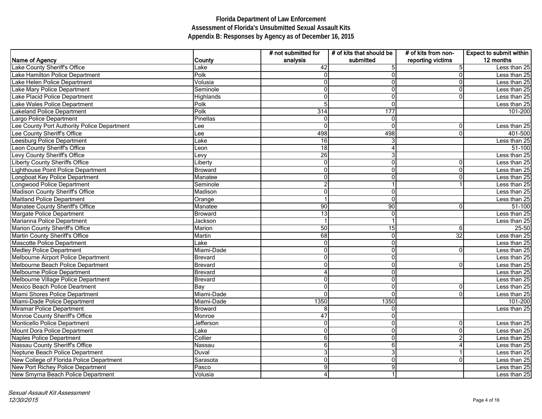|                                             |                | # not submitted for | # of kits that should be | # of kits from non- | Expect to submit within |
|---------------------------------------------|----------------|---------------------|--------------------------|---------------------|-------------------------|
| Name of Agency                              | County         | analysis            | submitted                | reporting victims   | 12 months               |
| Lake County Sheriff's Office                | Lake           | 42                  |                          | 5                   | Less than 25            |
| Lake Hamilton Police Department             | Polk           |                     | $\Omega$                 | 0                   | Less than 25            |
| Lake Helen Police Department                | Volusia        |                     | 0                        | 0                   | Less than 25            |
| Lake Mary Police Department                 | Seminole       |                     | $\Omega$                 | $\mathbf 0$         | Less than 25            |
| Lake Placid Police Department               | Highlands      |                     | 0                        | 0                   | Less than 25            |
| Lake Wales Police Department                | Polk           |                     | $\Omega$                 |                     | Less than 25            |
| <b>Lakeland Police Department</b>           | Polk           | 314                 | 177                      |                     | 101-200                 |
| Largo Police Department                     | Pinellas       | $\Omega$            | $\mathbf 0$              |                     |                         |
| Lee County Port Authority Police Department | Lee            | O                   | $\Omega$                 | 0                   | Less than 25            |
| Lee County Sheriff's Office                 | Lee            | 498                 | 498                      | $\mathbf 0$         | $\overline{401}$ -500   |
| Leesburg Police Department                  | Lake           | 16                  |                          |                     | Less than 25            |
| Leon County Sheriff's Office                | Leon           | 18                  |                          |                     | 51-100                  |
| Levy County Sheriff's Office                | Levy           | 26                  |                          |                     | Less than 25            |
| <b>Liberty County Sheriffs Office</b>       | Liberty        |                     | $\overline{0}$           | 0                   | Less than 25            |
| Lighthouse Point Police Department          | <b>Broward</b> |                     | $\overline{0}$           | 0                   | Less than 25            |
| Longboat Key Police Department              | Manatee        |                     | 0                        | 0                   | Less than 25            |
| Longwood Police Department                  | Seminole       |                     |                          |                     | Less than 25            |
| Madison County Sheriff's Office             | Madison        |                     | $\Omega$                 |                     | Less than 25            |
| <b>Maitland Police Department</b>           | Orange         |                     | 0                        |                     | Less than 25            |
| Manatee County Sheriff's Office             | Manatee        | 90                  | 90                       | 0                   | 51-100                  |
| Margate Police Department                   | <b>Broward</b> | 13                  | $\overline{0}$           |                     | Less than 25            |
| Marianna Police Department                  | Jackson        |                     |                          |                     | Less than 25            |
| Marion County Sheriff's Office              | Marion         | 50                  | 15                       | 6                   | 25-50                   |
| Martin County Sheriff's Office              | Martin         | 68                  | $\overline{0}$           | 32                  | Less than 25            |
| <b>Mascotte Police Department</b>           | Lake           | $\Omega$            | $\Omega$                 |                     | Less than 25            |
| <b>Medley Police Department</b>             | Miami-Dade     |                     | 0                        | 0                   | Less than 25            |
| Melbourne Airport Police Department         | <b>Brevard</b> |                     | $\Omega$                 |                     | Less than 25            |
| Melbourne Beach Police Department           | <b>Brevard</b> |                     | $\Omega$                 | $\mathbf 0$         | Less than 25            |
| Melbourne Police Department                 | <b>Brevard</b> |                     | $\overline{0}$           |                     | Less than 25            |
| Melbourne Village Police Department         | Brevard        |                     | $\overline{0}$           |                     | Less than $25$          |
| Mexico Beach Police Deartment               | Bay            |                     | $\overline{0}$           | 0                   | Less than 25            |
| Miami Shores Police Department              | Miami-Dade     | 0                   | $\Omega$                 | $\mathbf 0$         | Less than 25            |
| Miami-Dade Police Department                | Miami-Dade     | 1350                | 1350                     |                     | $\overline{101-200}$    |
| Miramar Police Department                   | <b>Broward</b> | 8                   | $\overline{0}$           |                     | Less than 25            |
| Monroe County Sheriff's Office              | Monroe         | 47                  | $\overline{0}$           |                     |                         |
| Monticello Police Department                | Jefferson      | $\Omega$            | $\overline{0}$           | 0                   | Less than 25            |
| Mount Dora Police Department                | Lake           | 0                   | $\Omega$                 | 0                   | Less than 25            |
| Naples Police Department                    | Collier        | 6                   | $\overline{0}$           | $\overline{c}$      | Less than 25            |
| Nassau County Sheriff's Office              | Nassau         | 6                   | 6                        | 4                   | Less than 25            |
| Neptune Beach Police Department             | Duval          | 3                   | 3                        |                     | Less than 25            |
| New College of Florida Police Department    | Sarasota       |                     | $\overline{0}$           | $\mathbf 0$         | Less than 25            |
| New Port Richey Police Department           | Pasco          |                     | 9                        |                     | Less than 25            |
| New Smyrna Beach Police Department          | Volusia        |                     |                          |                     | Less than 25            |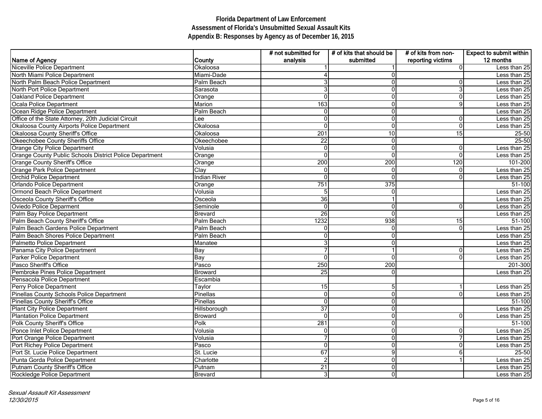|                                                         |                | # not submitted for | # of kits that should be | # of kits from non- | <b>Expect to submit within</b> |
|---------------------------------------------------------|----------------|---------------------|--------------------------|---------------------|--------------------------------|
| Name of Agency                                          | County         | analysis            | submitted                | reporting victims   | 12 months                      |
| Niceville Police Department                             | Okaloosa       |                     |                          | 0                   | Less than 25                   |
| North Miami Police Department                           | Miami-Dade     |                     |                          |                     | Less than 25                   |
| North Palm Beach Police Department                      | Palm Beach     |                     |                          | 0                   | Less than 25                   |
| North Port Police Department                            | Sarasota       |                     | O                        | 3                   | Less than 25                   |
| Oakland Police Department                               | Orange         | $\Omega$            | 0                        | 0                   | Less than 25                   |
| Ocala Police Department                                 | Marion         | 163                 | 0                        | 9                   | Less than 25                   |
| Ocean Ridge Police Department                           | Palm Beach     | $\Omega$            | 0                        |                     | Less than 25                   |
| Office of the State Attorney, 20th Judicial Circuit     | Lee            | 0                   | 0                        | 0                   | Less than 25                   |
| Okaloosa County Airports Police Department              | Okaloosa       | $\Omega$            | O                        | 0                   | Less than 25                   |
| Okaloosa County Sheriff's Office                        | Okaloosa       | 201                 | 10                       | 15                  | 25-50                          |
| Okeechobee County Sheriffs Office                       | Okeechobee     | 22                  | O                        |                     | 25-50                          |
| Orange City Police Department                           | Volusia        | ∩                   | O                        | 0                   | Less than 25                   |
| Orange County Public Schools District Police Department | Orange         |                     |                          | 0                   | Less than 25                   |
| Orange County Sheriff's Office                          | Orange         | 200                 | 200                      | 120                 | $101 - 200$                    |
| Orange Park Police Department                           | Clay           | $\Omega$            | 0                        | 0                   | Less than 25                   |
| <b>Orchid Police Department</b>                         | Indian River   | 0                   | ŋ                        | 0                   | Less than 25                   |
| Orlando Police Department                               | Orange         | 751                 | 375                      |                     | 51-100                         |
| Ormond Beach Police Department                          | Volusia        | 5                   | 0                        |                     | Less than $25$                 |
| Osceola County Sheriff's Office                         | Osceola        | 36                  |                          |                     | Less than 25                   |
| Oviedo Police Deparment                                 | Seminole       | $\mathbf 0$         | $\Omega$                 | 0                   | Less than 25                   |
| Palm Bay Police Department                              | <b>Brevard</b> | 26                  | ŋ                        |                     | Less than 25                   |
| Palm Beach County Sheriff's Office                      | Palm Beach     | 1232                | 938                      | 15                  | 51-100                         |
| Palm Beach Gardens Police Department                    | Palm Beach     | $\Omega$            | ∩                        | 0                   | Less than 25                   |
| Palm Beach Shores Police Department                     | Palm Beach     |                     | O                        |                     | Less than 25                   |
| Palmetto Police Department                              | Manatee        |                     | O                        |                     | Less than 25                   |
| Panama City Police Department                           | Bay            |                     |                          | 0                   | Less than 25                   |
| Parker Police Department                                | Bay            | $\Omega$            | O                        | 0                   | Less than 25                   |
| Pasco Sheriff's Office                                  | Pasco          | 250                 | 200                      |                     | 201-300                        |
| Pembroke Pines Police Department                        | <b>Broward</b> | 25                  | 0                        |                     | Less than 25                   |
| Pensacola Police Department                             | Escambia       |                     |                          |                     |                                |
| Perry Police Department                                 | Taylor         | 15                  |                          |                     | Less than 25                   |
| Pinellas County Schools Police Department               | Pinellas       | $\Omega$            | 0                        | 0                   | Less than 25                   |
| Pinellas County Sheriff's Office                        | Pinellas       | $\mathbf{0}$        | 0                        |                     | 51-100                         |
| Plant City Police Department                            | Hillsborough   | $\overline{37}$     | 0                        |                     | Less than 25                   |
| Plantation Police Department                            | <b>Broward</b> | 0                   | 0                        | 0                   | Less than 25                   |
| Polk County Sheriff's Office                            | Polk           | 281                 | $\Omega$                 |                     | 51-100                         |
| Ponce Inlet Police Department                           | Volusia        | 0                   | 0                        | 0                   | Less than 25                   |
| Port Orange Police Department                           | Volusia        |                     | 0                        | $\overline{7}$      | Less than 25                   |
| Port Richey Police Department                           | Pasco          | $\Omega$            | O                        | 0                   | Less than 25                   |
| Port St. Lucie Police Department                        | St. Lucie      | $\overline{67}$     | 9                        | 6                   | 25-50                          |
| Punta Gorda Police Department                           | Charlotte      | $\overline{2}$      | 0                        |                     | Less than 25                   |
| Putnam County Sheriff's Office                          | Putnam         | 21                  | 0                        |                     | Less than 25                   |
| Rockledge Police Department                             | Brevard        | 3                   | $\overline{0}$           |                     | Less than 25                   |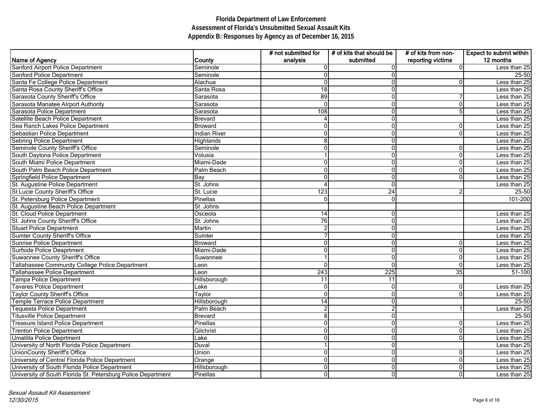|                                                              |                     | # not submitted for | # of kits that should be | # of kits from non- | <b>Expect to submit within</b> |
|--------------------------------------------------------------|---------------------|---------------------|--------------------------|---------------------|--------------------------------|
| Name of Agency                                               | <b>County</b>       | analysis            | submitted                | reporting victims   | 12 months                      |
| Sanford Airport Police Department                            | Seminole            |                     |                          | 0                   | Less than 25                   |
| Sanford Police Department                                    | Seminole            |                     |                          |                     | 25-50                          |
| Santa Fe College Police Department                           | Alachua             | O                   |                          | 0                   | Less than 25                   |
| Santa Rosa County Sheriff's Office                           | Santa Rosa          | 18                  | 0                        |                     | Less than 25                   |
| Sarasota County Sheriff's Office                             | Sarasota            | 89                  | 0                        | 7                   | Less than 25                   |
| Sarasota Manatee Alrport Authority                           | Sarasota            | $\mathbf{0}$        | 0                        | 0                   | Less than 25                   |
| Sarasota Police Department                                   | Sarasota            | 108                 | 0                        | 5                   | Less than 25                   |
| Satellite Beach Police Department                            | <b>Brevard</b>      |                     | 0                        |                     | Less than 25                   |
| Sea Ranch Lakes Police Department                            | Broward             |                     | O                        | 0                   | Less than 25                   |
| Sebastian Police Department                                  | <b>Indian River</b> |                     |                          | 0                   | Less than 25                   |
| Sebring Police Department                                    | Highlands           |                     | ŋ                        |                     | Less than 25                   |
| Seminole County Sheriff's Office                             | Seminole            |                     | ŋ                        | 0                   | Less than 25                   |
| South Daytona Police Department                              | Volusia             |                     |                          | 0                   | Less than 25                   |
| South Miami Police Department                                | Miami-Dade          |                     | 0                        | 0                   | Less than 25                   |
| South Palm Beach Police Department                           | Palm Beach          |                     | 0                        | 0                   | Less than 25                   |
| Springfield Police Department                                | Bay                 |                     | U                        | 0                   | Less than 25                   |
| St. Augustine Police Department                              | St. Johns           |                     | $\Omega$                 |                     | Less than 25                   |
| St Lucie County Sheriff's Office                             | St. Lucie           | 123                 | $\overline{24}$          | 2                   | 25-50                          |
| St. Petersburg Police Department                             | Pinellas            | $\mathbf 0$         | 0                        |                     | 101-200                        |
| St. Augustine Beach Police Department                        | St. Johns           |                     |                          |                     |                                |
| St. Cloud Police Department                                  | Osceola             | 14                  | 0                        |                     | Less than 25                   |
| St. Johns County Sheriff's Office                            | St. Johns           | 76                  | 0                        |                     | Less than 25                   |
| Stuart Police Department                                     | Martin              |                     | O                        |                     | Less than 25                   |
| Sumter County Sheriff's Office                               | Sumter              |                     | 0                        |                     | Less than 25                   |
| Sunrise Police Department                                    | Broward             |                     | O                        | 0                   | Less than 25                   |
| Surfside Police Deaprtment                                   | Miami-Dade          |                     | O                        | 0                   | Less than 25                   |
| Suwannee County Sheriff's Office                             | Suwannee            |                     | 0                        | 0                   | Less than 25                   |
| Tallahassee Community College Police Department              | Leon                | 0                   | 0                        | $\mathbf 0$         | Less than 25                   |
| Tallahassee Police Department                                | Leon                | $\overline{243}$    | 225                      | $\overline{35}$     | 51-100                         |
| <b>Tampa Police Department</b>                               | Hillsborough        | 11                  | 11                       |                     |                                |
| <b>Tavares Police Department</b>                             | Lake                | 0                   | 0                        | 0                   | Less than $25$                 |
| <b>Taylor County Sheriff's Office</b>                        | Taylor              | $\mathbf{0}$        | 0                        | 0                   | Less than 25                   |
| <b>Temple Terrace Police Department</b>                      | Hillsborough        | 14                  | 0                        |                     | $25 - 50$                      |
| <b>Tequesta Police Department</b>                            | Palm Beach          | $\overline{2}$      |                          |                     | Less than 25                   |
| <b>Titusville Police Department</b>                          | <b>Brevard</b>      | 8                   | 0                        |                     | 25-50                          |
| Treasure Island Police Department                            | Pinellas            | $\Omega$            | 0                        | 0                   | Less than 25                   |
| <b>Trenton Police Department</b>                             | Gilchrist           | ∩                   | O                        | 0                   | Less than 25                   |
| Umatilla Police Deprtment                                    | Lake                |                     | O                        | $\mathbf 0$         | Less than 25                   |
| University of North Florida Police Department                | Duval               |                     | ∩                        |                     | Less than 25                   |
| UnionCounty Sheriff's Office                                 | Union               | 0                   | 0                        | 0                   | Less than 25                   |
| University of Central Florida Police Department              | Orange              | $\Omega$            | 0                        | 0                   | Less than 25                   |
| University of South Florida Police Department                | Hillsborough        | 0                   | 0                        | 0                   | Less than 25                   |
| University of South Florida St. Petersburg Police Department | Pinellas            | 0                   | $\Omega$                 | 0                   | Less than 25                   |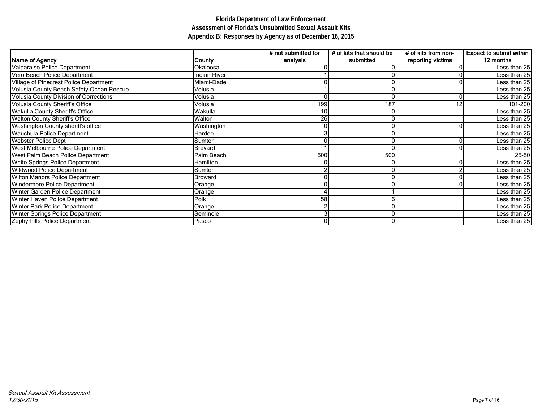|                                               |                     | # not submitted for | # of kits that should be | # of kits from non- | <b>Expect to submit within</b> |
|-----------------------------------------------|---------------------|---------------------|--------------------------|---------------------|--------------------------------|
| Name of Agency                                | County              | analysis            | submitted                | reporting victims   | 12 months                      |
| Valparaiso Police Department                  | Okaloosa            |                     |                          |                     | Less than 25                   |
| Vero Beach Police Department                  | <b>Indian River</b> |                     |                          |                     | Less than 25                   |
| Village of Pinecrest Police Department        | Miami-Dade          |                     |                          |                     | Less than 25                   |
| Volusia County Beach Safety Ocean Rescue      | Volusia             |                     |                          |                     | Less than 25                   |
| <b>Volusia County Division of Corrections</b> | Volusia             |                     |                          | $\mathbf 0$         | Less than 25                   |
| <b>Volusia County Sheriff's Office</b>        | Volusia             | 199                 | 187                      | 12                  | 101-200                        |
| <b>Wakulla County Sheriff's Office</b>        | Wakulla             | 10                  |                          |                     | Less than 25                   |
| <b>Walton County Sheriff's Office</b>         | Walton              | 26                  |                          |                     | Less than 25                   |
| <b>Washington County sheriff's office</b>     | Washington          |                     |                          | 0                   | Less than 25                   |
| <b>Wauchula Police Department</b>             | Hardee              |                     |                          |                     | Less than 25                   |
| <b>Webster Police Dept</b>                    | Sumter              |                     |                          |                     | Less than 25                   |
| <b>West Melbourne Police Department</b>       | <b>Brevard</b>      |                     |                          |                     | Less than 25                   |
| West Palm Beach Police Department             | Palm Beach          | 500                 | 500                      |                     | 25-50                          |
| <b>White Springs Police Department</b>        | Hamilton            |                     |                          | 0                   | Less than 25                   |
| <b>Wildwood Police Department</b>             | Sumter              |                     |                          |                     | Less than 25                   |
| <b>Wilton Manors Police Department</b>        | Broward             |                     |                          |                     | Less than 25                   |
| Windermere Police Department                  | Orange              |                     |                          |                     | Less than 25                   |
| Winter Garden Police Department               | Orange              |                     |                          |                     | Less than 25                   |
| <b>Winter Haven Police Department</b>         | Polk                | 58                  |                          |                     | Less than 25                   |
| <b>Winter Park Police Department</b>          | Orange              |                     |                          |                     | Less than 25                   |
| <b>Winter Springs Police Department</b>       | Seminole            |                     |                          |                     | Less than 25                   |
| Zephyrhills Police Department                 | Pasco               |                     |                          |                     | Less than 25                   |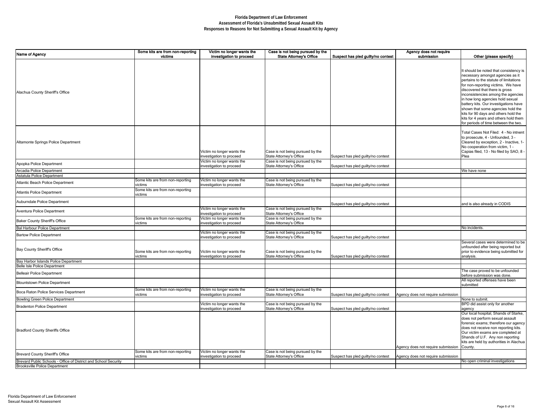| Name of Agency                                                  | Some kits are from non-reporting | Victim no longer wants the                             | Case is not being pursued by the                            |                                    | Agency does not require            |                                              |
|-----------------------------------------------------------------|----------------------------------|--------------------------------------------------------|-------------------------------------------------------------|------------------------------------|------------------------------------|----------------------------------------------|
|                                                                 | victims                          | investigation to proceed                               | <b>State Attorney's Office</b>                              | Suspect has pled guilty/no contest | submission                         | Other (please specify)                       |
|                                                                 |                                  |                                                        |                                                             |                                    |                                    |                                              |
|                                                                 |                                  |                                                        |                                                             |                                    |                                    | It should be noted that consistency is       |
|                                                                 |                                  |                                                        |                                                             |                                    |                                    | necessary amongst agencies as it             |
|                                                                 |                                  |                                                        |                                                             |                                    |                                    | pertains to the statute of limitations       |
|                                                                 |                                  |                                                        |                                                             |                                    |                                    | for non-reporting victims. We have           |
| Alachua County Sheriff's Office                                 |                                  |                                                        |                                                             |                                    |                                    | discovered that there is gross               |
|                                                                 |                                  |                                                        |                                                             |                                    |                                    | inconsistencies among the agencies           |
|                                                                 |                                  |                                                        |                                                             |                                    |                                    | in how long agencies hold sexual             |
|                                                                 |                                  |                                                        |                                                             |                                    |                                    | battery kits. Our investigations have        |
|                                                                 |                                  |                                                        |                                                             |                                    |                                    | shown that some agencies hold the            |
|                                                                 |                                  |                                                        |                                                             |                                    |                                    | kits for 90 days and others hold the         |
|                                                                 |                                  |                                                        |                                                             |                                    |                                    | kits for 4 years and others hold them        |
|                                                                 |                                  |                                                        |                                                             |                                    |                                    | for periods of time between the two.         |
|                                                                 |                                  |                                                        |                                                             |                                    |                                    | Total Cases Not Filed: 4 - No intnent        |
|                                                                 |                                  |                                                        |                                                             |                                    |                                    | to prosecute, 4 - Unfounded, 3 -             |
| Altamonte Springs Police Department                             |                                  |                                                        |                                                             |                                    |                                    | Cleared by exception, 2 - Inactive, 1-       |
|                                                                 |                                  |                                                        |                                                             |                                    |                                    | No cooperation from victim, 1 -              |
|                                                                 |                                  | Victim no longer wants the                             |                                                             |                                    |                                    | Capias filed, 13 - No filed by SAO, 8 -      |
|                                                                 |                                  |                                                        | Case is not being pursued by the                            |                                    |                                    |                                              |
|                                                                 |                                  | investigation to proceed                               | State Attorney's Office<br>Case is not being pursued by the | Suspect has pled guilty/no contest |                                    | Plea                                         |
| Apopka Police Department                                        |                                  | Victim no longer wants the<br>investigation to proceed | State Attorney's Office                                     | Suspect has pled guilty/no contest |                                    |                                              |
| Arcadia Police Department                                       |                                  |                                                        |                                                             |                                    |                                    | We have none                                 |
| Astatula Police Department                                      |                                  |                                                        |                                                             |                                    |                                    |                                              |
| Atlantic Beach Police Department                                | Some kits are from non-reporting | Victim no longer wants the                             | Case is not being pursued by the                            |                                    |                                    |                                              |
|                                                                 | victims                          | investigation to proceed                               | State Attorney's Office                                     | Suspect has pled guilty/no contest |                                    |                                              |
| Atlantis Police Department                                      | Some kits are from non-reporting |                                                        |                                                             |                                    |                                    |                                              |
|                                                                 | victims                          |                                                        |                                                             |                                    |                                    |                                              |
| Auburndale Police Department                                    |                                  |                                                        |                                                             | Suspect has pled guilty/no contest |                                    | and is also already in CODIS                 |
|                                                                 |                                  | Victim no longer wants the                             | Case is not being pursued by the                            |                                    |                                    |                                              |
| Aventura Police Department                                      |                                  | investigation to proceed                               | State Attorney's Office                                     |                                    |                                    |                                              |
|                                                                 | Some kits are from non-reporting | Victim no longer wants the                             | Case is not being pursued by the                            |                                    |                                    |                                              |
| <b>Baker County Sheriff's Office</b>                            | victims                          | investigation to proceed                               | State Attorney's Office                                     |                                    |                                    |                                              |
| <b>Bal Harbour Police Department</b>                            |                                  | Victim no longer wants the                             | Case is not being pursued by the                            |                                    |                                    | No incidents                                 |
| <b>Bartow Police Department</b>                                 |                                  | investigation to proceed                               | State Attorney's Office                                     | Suspect has pled guilty/no contest |                                    |                                              |
|                                                                 |                                  |                                                        |                                                             |                                    |                                    | Several cases were determined to be          |
|                                                                 |                                  |                                                        |                                                             |                                    |                                    | unfounded after being reported but           |
| <b>Bay County Sheriff's Office</b>                              | Some kits are from non-reporting | Victim no longer wants the                             | Case is not being pursued by the                            |                                    |                                    | prior to evidence being submitted for        |
|                                                                 | victims                          | investigation to proceed                               | State Attorney's Office                                     | Suspect has pled guilty/no contest |                                    | analysis.                                    |
| Bay Harbor Islands Police Department                            |                                  |                                                        |                                                             |                                    |                                    |                                              |
| Belle Isle Police Department                                    |                                  |                                                        |                                                             |                                    |                                    |                                              |
| <b>Belleair Police Department</b>                               |                                  |                                                        |                                                             |                                    |                                    | The case proved to be unfounded              |
|                                                                 |                                  |                                                        |                                                             |                                    |                                    | before submission was done.                  |
| <b>Blountstown Police Department</b>                            |                                  |                                                        |                                                             |                                    |                                    | All reported offenses have been<br>submitted |
|                                                                 | Some kits are from non-reporting | Victim no longer wants the                             | Case is not being pursued by the                            |                                    |                                    |                                              |
| Boca Raton Police Services Department                           | victims                          | investigation to proceed                               | State Attorney's Office                                     | Suspect has pled guilty/no contest | Agency does not require submission |                                              |
| <b>Bowling Green Police Department</b>                          |                                  |                                                        |                                                             |                                    |                                    | None to submit.                              |
| <b>Bradenton Police Department</b>                              |                                  | Victim no longer wants the                             | Case is not being pursued by the                            |                                    |                                    | <b>BPD</b> did assist only for another       |
|                                                                 |                                  | investigation to proceed                               | State Attorney's Office                                     | Suspect has pled guilty/no contest |                                    | agency                                       |
|                                                                 |                                  |                                                        |                                                             |                                    |                                    | Our local hospital, Shands of Starke,        |
|                                                                 |                                  |                                                        |                                                             |                                    |                                    | does not perform sexual assault              |
|                                                                 |                                  |                                                        |                                                             |                                    |                                    | forensic exams; therefore our agency         |
| <b>Bradford County Sheriffs Office</b>                          |                                  |                                                        |                                                             |                                    |                                    | does not receive non reporting kits.         |
|                                                                 |                                  |                                                        |                                                             |                                    |                                    | Our victim exams are completed at            |
|                                                                 |                                  |                                                        |                                                             |                                    |                                    | Shands of U.F. Any non reporting             |
|                                                                 |                                  |                                                        |                                                             |                                    |                                    | kits are held by authorities in Alachua      |
|                                                                 |                                  |                                                        |                                                             |                                    | Agency does not require submission | County.                                      |
| <b>Brevard County Sheriff's Office</b>                          | Some kits are from non-reporting | Victim no longer wants the                             | Case is not being pursued by the                            |                                    |                                    |                                              |
|                                                                 | victims                          | investigation to proceed                               | State Attorney's Office                                     | Suspect has pled guilty/no contest | Agency does not require submission |                                              |
| Brevard Public Schools - Office of District and School Security |                                  |                                                        |                                                             |                                    |                                    | No open criminal investigations              |
| <b>Brooksville Police Department</b>                            |                                  |                                                        |                                                             |                                    |                                    |                                              |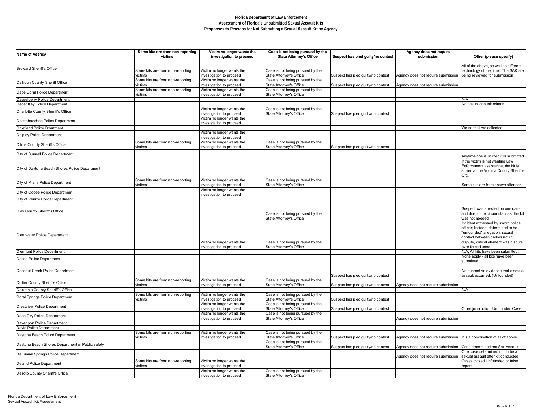| Name of Agency                                   | Some kits are from non-reporting<br>victims | Victim no longer wants the<br>investigation to proceed | Case is not being pursued by the<br><b>State Attorney's Office</b> | Suspect has pled guilty/no contest | Agency does not require<br>submission                                    | Other (please specify)                                                                                                                                                                                     |
|--------------------------------------------------|---------------------------------------------|--------------------------------------------------------|--------------------------------------------------------------------|------------------------------------|--------------------------------------------------------------------------|------------------------------------------------------------------------------------------------------------------------------------------------------------------------------------------------------------|
|                                                  |                                             |                                                        |                                                                    |                                    |                                                                          |                                                                                                                                                                                                            |
| <b>Broward Sheriff's Office</b>                  | Some kits are from non-reporting<br>victims | Victim no longer wants the<br>investigation to proceed | Case is not being pursued by the<br>State Attorney's Office        | Suspect has pled guilty/no contest | Agency does not require submission                                       | All of the above, as well as different<br>technology of the time. The SAK are<br>being reviewed for submission                                                                                             |
| Calhoun County Sheriff Office                    | Some kits are from non-reporting<br>victims | Victim no longer wants the<br>investigation to proceed | Case is not being pursued by the<br>State Attorney's Office        | Suspect has pled guilty/no contest | Agency does not require submission                                       |                                                                                                                                                                                                            |
| Cape Coral Police Department                     | Some kits are from non-reporting<br>victims | Victim no longer wants the<br>investigation to proceed | Case is not being pursued by the<br>State Attorney's Office        |                                    |                                                                          |                                                                                                                                                                                                            |
| <b>Casselberry Police Department</b>             |                                             |                                                        |                                                                    |                                    |                                                                          | N/A                                                                                                                                                                                                        |
| Cedar Key Police Department                      |                                             | Victim no longer wants the                             | Case is not being pursued by the                                   |                                    |                                                                          | No sexual assualt crimes                                                                                                                                                                                   |
| <b>Charlotte County Sheriff's Office</b>         |                                             | investigation to proceed                               | State Attorney's Office                                            | Suspect has pled guilty/no contest |                                                                          |                                                                                                                                                                                                            |
| Chattahoochee Police Department                  |                                             | Victim no longer wants the<br>investigation to proceed |                                                                    |                                    |                                                                          |                                                                                                                                                                                                            |
| <b>Chiefland Police Dpartment</b>                |                                             |                                                        |                                                                    |                                    |                                                                          | We sent all we collected                                                                                                                                                                                   |
| <b>Chipley Police Department</b>                 |                                             | Victim no longer wants the<br>investigation to proceed |                                                                    |                                    |                                                                          |                                                                                                                                                                                                            |
| <b>Citrus County Sheriff's Office</b>            | Some kits are from non-reporting<br>victims | Victim no longer wants the<br>investigation to proceed | Case is not being pursued by the<br>State Attorney's Office        | Suspect has pled guilty/no contest |                                                                          |                                                                                                                                                                                                            |
| City of Bunnell Police Department                |                                             |                                                        |                                                                    |                                    |                                                                          | Anytime one is utilized it is submitted.                                                                                                                                                                   |
| City of Daytona Beach Shores Police Department   |                                             |                                                        |                                                                    |                                    |                                                                          | If the victim is not wanting Law<br>Enforcement assistance, the kit is<br>stored at the Volusia County Sheriff's<br>Ofc.                                                                                   |
| City of Miami Police Department                  | Some kits are from non-reporting<br>victims | Victim no longer wants the<br>investigation to proceed | Case is not being pursued by the<br>State Attorney's Office        |                                    |                                                                          | Some kits are from known offender                                                                                                                                                                          |
| City of Ocoee Police Department                  |                                             | Victim no longer wants the<br>investigation to proceed |                                                                    |                                    |                                                                          |                                                                                                                                                                                                            |
| <b>City of Venice Police Department</b>          |                                             |                                                        |                                                                    |                                    |                                                                          |                                                                                                                                                                                                            |
| Clay County Sheriff's Office                     |                                             |                                                        | Case is not being pursued by the<br>State Attorney's Office        |                                    |                                                                          | Suspect was arrested on one case<br>and due to the circumstances, the kit<br>was not needed.                                                                                                               |
| <b>Clearwater Police Department</b>              |                                             | Victim no longer wants the<br>investigation to proceed | Case is not being pursued by the<br>State Attorney's Office        |                                    |                                                                          | Incident witnessed by sworn police<br>officer; Incident determined to be<br>"unfounded" allegation; sexual<br>contact between parties not in<br>dispute, critical element was dispute<br>over forced used. |
| <b>Clermont Police Department</b>                |                                             |                                                        |                                                                    |                                    |                                                                          | N/A. All kits have been submitted.                                                                                                                                                                         |
| Cocoa Police Department                          |                                             |                                                        |                                                                    |                                    |                                                                          | None apply - all kits have been<br>submitted                                                                                                                                                               |
| Coconut Creek Police Department                  |                                             |                                                        |                                                                    | Suspect has pled guilty/no contest |                                                                          | No supportive evidence that a sexual<br>assault occurred. (Unfounded)                                                                                                                                      |
| Collier County Sheriff's Office                  | Some kits are from non-reporting<br>victims | Victim no longer wants the<br>investigation to proceed | Case is not being pursued by the<br>State Attorney's Office        | Suspect has pled guilty/no contest | Agency does not require submission                                       |                                                                                                                                                                                                            |
| Columbia County Sheriff's Office                 |                                             |                                                        |                                                                    |                                    |                                                                          | N/A                                                                                                                                                                                                        |
| Coral Springs Police Department                  | Some kits are from non-reporting<br>victims | Victim no longer wants the<br>investigation to proceed | Case is not being pursued by the<br>State Attorney's Office        | Suspect has pled guilty/no contest |                                                                          |                                                                                                                                                                                                            |
| <b>Crestview Police Department</b>               |                                             | Victim no longer wants the<br>investigation to proceed | Case is not being pursued by the<br>State Attorney's Office        | Suspect has pled guilty/no contest |                                                                          | Other jurisdiction, Unfounded Case                                                                                                                                                                         |
| Dade City Police Department                      |                                             | Victim no longer wants the<br>investigation to proceed | Case is not being pursued by the<br>State Attorney's Office        |                                    | Agency does not require submission                                       |                                                                                                                                                                                                            |
| Davenport Police Department                      |                                             |                                                        |                                                                    |                                    |                                                                          |                                                                                                                                                                                                            |
| Davie Police Department                          |                                             |                                                        |                                                                    |                                    |                                                                          |                                                                                                                                                                                                            |
| Daytona Beach Police Department                  | Some kits are from non-reporting<br>victims | Victim no longer wants the<br>investigation to proceed | Case is not being pursued by the<br>State Attorney's Office        | Suspect has pled guilty/no contest | Agency does not require submission   It is a combination of all of above |                                                                                                                                                                                                            |
| Daytona Beach Shores Department of Public safety |                                             |                                                        | Case is not being pursued by the<br>State Attorney's Office        | Suspect has pled guilty/no contest | Agency does not require submission   Case determined not Sex Assault     |                                                                                                                                                                                                            |
| DeFuniak Springs Police Department               |                                             |                                                        |                                                                    |                                    | Agency does not require submission                                       | One case determined not to be a<br>sexual assault after kit conducted.                                                                                                                                     |
| Deland Police Department                         | Some kits are from non-reporting<br>victims | Victim no longer wants the<br>investigation to proceed |                                                                    |                                    |                                                                          | Cases closed Unfounded or false<br>report.                                                                                                                                                                 |
| Desoto County Sheriff's Office                   |                                             | Victim no longer wants the<br>investigation to proceed | Case is not being pursued by the<br>State Attorney's Office        |                                    |                                                                          |                                                                                                                                                                                                            |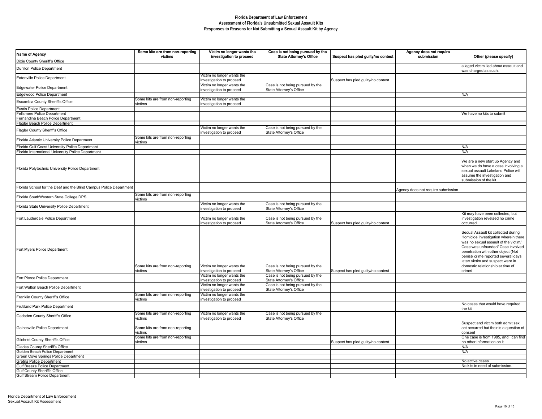| ect has pled guilty/no contest | Agency does not require<br>submission | Other (please specify)                                                                                                                                                                                                                                                                                                  |
|--------------------------------|---------------------------------------|-------------------------------------------------------------------------------------------------------------------------------------------------------------------------------------------------------------------------------------------------------------------------------------------------------------------------|
|                                |                                       | alleged victim lied about assault and<br>was charged as such.                                                                                                                                                                                                                                                           |
| ct has pled guilty/no contest  |                                       |                                                                                                                                                                                                                                                                                                                         |
|                                |                                       |                                                                                                                                                                                                                                                                                                                         |
|                                |                                       | N/A                                                                                                                                                                                                                                                                                                                     |
|                                |                                       |                                                                                                                                                                                                                                                                                                                         |
|                                |                                       | We have no kits to submit                                                                                                                                                                                                                                                                                               |
|                                |                                       |                                                                                                                                                                                                                                                                                                                         |
|                                |                                       |                                                                                                                                                                                                                                                                                                                         |
|                                |                                       |                                                                                                                                                                                                                                                                                                                         |
|                                |                                       | N/A<br>N/A                                                                                                                                                                                                                                                                                                              |
|                                |                                       | We are a new start up Agency and<br>when we do have a case involving a<br>sexual assault Lakeland Police will<br>assume the investigation and<br>submission of the kit.                                                                                                                                                 |
|                                | Agency does not require submission    |                                                                                                                                                                                                                                                                                                                         |
|                                |                                       |                                                                                                                                                                                                                                                                                                                         |
|                                |                                       |                                                                                                                                                                                                                                                                                                                         |
| ct has pled guilty/no contest  |                                       | Kit may have been collected, but<br>investigation revelaed no crime<br>occurred.                                                                                                                                                                                                                                        |
| ct has pled guilty/no contest  |                                       | Secual Assault kit collected during<br>Homicide Investigation wherein there<br>was no sexual assault of the victim/<br>Case was unfounded/ Case involved<br>penetration with other object (Not<br>penis)/ crime reported several days<br>later/victim and suspect were in<br>domestic relationship at time of<br>crime/ |
|                                |                                       |                                                                                                                                                                                                                                                                                                                         |
|                                |                                       |                                                                                                                                                                                                                                                                                                                         |
|                                |                                       |                                                                                                                                                                                                                                                                                                                         |
|                                |                                       | No cases that would have required<br>the kit                                                                                                                                                                                                                                                                            |
|                                |                                       |                                                                                                                                                                                                                                                                                                                         |
| ct has pled guilty/no contest  |                                       | Suspect and victim both admit sex<br>act occurred but their is a question of<br>consent<br>One case is from 1985, and I can find<br>no other information on it                                                                                                                                                          |
|                                |                                       | N/A<br>N/A                                                                                                                                                                                                                                                                                                              |
|                                |                                       | No active cases                                                                                                                                                                                                                                                                                                         |
|                                |                                       | No kits in need of submission.                                                                                                                                                                                                                                                                                          |
|                                |                                       |                                                                                                                                                                                                                                                                                                                         |

| Name of Agency                                                       | Some kits are from non-reporting<br>victims | Victim no longer wants the<br>investigation to proceed | Case is not being pursued by the<br><b>State Attorney's Office</b> | Agency does not require<br>Suspect has pled guilty/no contest<br>submission | Other (please specify)                                                                                                                                                                                                                                                                                                  |
|----------------------------------------------------------------------|---------------------------------------------|--------------------------------------------------------|--------------------------------------------------------------------|-----------------------------------------------------------------------------|-------------------------------------------------------------------------------------------------------------------------------------------------------------------------------------------------------------------------------------------------------------------------------------------------------------------------|
| Dixie County Sheriff's Office                                        |                                             |                                                        |                                                                    |                                                                             |                                                                                                                                                                                                                                                                                                                         |
| <b>Dunllon Police Department</b>                                     |                                             |                                                        |                                                                    |                                                                             | alleged victim lied about assault and<br>was charged as such.                                                                                                                                                                                                                                                           |
| Eatonville Police Department                                         |                                             | Victim no longer wants the<br>investigation to proceed |                                                                    | Suspect has pled guilty/no contest                                          |                                                                                                                                                                                                                                                                                                                         |
| Edgewater Police Department                                          |                                             | Victim no longer wants the<br>investigation to proceed | Case is not being pursued by the<br>State Attorney's Office        |                                                                             |                                                                                                                                                                                                                                                                                                                         |
| Edgewood Police Department                                           |                                             |                                                        |                                                                    |                                                                             | N/A                                                                                                                                                                                                                                                                                                                     |
| Escambia County Sheriff's Office                                     | Some kits are from non-reporting<br>victims | Victim no longer wants the<br>investigation to proceed |                                                                    |                                                                             |                                                                                                                                                                                                                                                                                                                         |
| <b>Eustis Police Department</b>                                      |                                             |                                                        |                                                                    |                                                                             |                                                                                                                                                                                                                                                                                                                         |
| Fellsmere Police Department                                          |                                             |                                                        |                                                                    |                                                                             | We have no kits to submit                                                                                                                                                                                                                                                                                               |
| Fernandina Beach Police Department                                   |                                             |                                                        |                                                                    |                                                                             |                                                                                                                                                                                                                                                                                                                         |
| Flagler Beach Police Department                                      |                                             | Victim no longer wants the                             | Case is not being pursued by the                                   |                                                                             |                                                                                                                                                                                                                                                                                                                         |
| <b>Flagler County Sheriff's Office</b>                               |                                             | investigation to proceed                               | State Attorney's Office                                            |                                                                             |                                                                                                                                                                                                                                                                                                                         |
| Florida Atlantic University Police Department                        | Some kits are from non-reporting<br>victims |                                                        |                                                                    |                                                                             |                                                                                                                                                                                                                                                                                                                         |
| Florida Gulf Coast University Police Department                      |                                             |                                                        |                                                                    |                                                                             | N/A                                                                                                                                                                                                                                                                                                                     |
| Florida International University Police Department                   |                                             |                                                        |                                                                    |                                                                             | N/A                                                                                                                                                                                                                                                                                                                     |
|                                                                      |                                             |                                                        |                                                                    |                                                                             |                                                                                                                                                                                                                                                                                                                         |
| Florida Polytechnic University Police Department                     |                                             |                                                        |                                                                    |                                                                             | We are a new start up Agency and<br>when we do have a case involving a<br>sexual assault Lakeland Police will<br>assume the investigation and<br>submission of the kit.                                                                                                                                                 |
| Florida School for the Deaf and the Blind Campus Police Department   |                                             |                                                        |                                                                    | Agency does not require submission                                          |                                                                                                                                                                                                                                                                                                                         |
| Florida SouthWestern State College DPS                               | Some kits are from non-reporting<br>victims |                                                        |                                                                    |                                                                             |                                                                                                                                                                                                                                                                                                                         |
| Florida State University Police Department                           |                                             | Victim no longer wants the<br>investigation to proceed | Case is not being pursued by the<br>State Attorney's Office        |                                                                             |                                                                                                                                                                                                                                                                                                                         |
| <b>Fort Lauderdale Police Department</b>                             |                                             | Victim no longer wants the<br>investigation to proceed | Case is not being pursued by the<br>State Attorney's Office        | Suspect has pled guilty/no contest                                          | Kit may have been collected, but<br>investigation revelaed no crime<br>occurred                                                                                                                                                                                                                                         |
| <b>Fort Myers Police Department</b>                                  | Some kits are from non-reporting<br>victims | Victim no longer wants the<br>investigation to proceed | Case is not being pursued by the<br>State Attorney's Office        | Suspect has pled guilty/no contest                                          | Secual Assault kit collected during<br>Homicide Investigation wherein there<br>was no sexual assault of the victim/<br>Case was unfounded/ Case involved<br>penetration with other object (Not<br>penis)/ crime reported several days<br>later/victim and suspect were in<br>domestic relationship at time of<br>crime/ |
| Fort Pierce Police Department                                        |                                             | Victim no longer wants the                             | Case is not being pursued by the                                   |                                                                             |                                                                                                                                                                                                                                                                                                                         |
| Fort Walton Beach Police Department                                  |                                             | investigation to proceed<br>Victim no longer wants the | State Attorney's Office<br>Case is not being pursued by the        |                                                                             |                                                                                                                                                                                                                                                                                                                         |
| <b>Franklin County Sheriff's Office</b>                              | Some kits are from non-reporting            | investigation to proceed<br>Victim no longer wants the | State Attorney's Office                                            |                                                                             |                                                                                                                                                                                                                                                                                                                         |
| <b>Frutiland Park Police Department</b>                              | victims                                     | investigation to proceed                               |                                                                    |                                                                             | No cases that would have required<br>the kit                                                                                                                                                                                                                                                                            |
| Gadsden County Sheriff's Office                                      | Some kits are from non-reporting<br>victims | Victim no longer wants the<br>investigation to proceed | Case is not being pursued by the<br>State Attorney's Office        |                                                                             |                                                                                                                                                                                                                                                                                                                         |
| Gainesville Police Department                                        | Some kits are from non-reporting<br>victims |                                                        |                                                                    |                                                                             | Suspect and victim both admit sex<br>act occurred but their is a question o<br>consent                                                                                                                                                                                                                                  |
| <b>Gilchrist County Sheriff's Office</b>                             | Some kits are from non-reporting<br>victims |                                                        |                                                                    | Suspect has pled guilty/no contest                                          | One case is from 1985, and I can fine<br>no other information on it                                                                                                                                                                                                                                                     |
| <b>Glades County Sheriff's Office</b>                                |                                             |                                                        |                                                                    |                                                                             | N/A                                                                                                                                                                                                                                                                                                                     |
| Golden Beach Police Department                                       |                                             |                                                        |                                                                    |                                                                             | N/A                                                                                                                                                                                                                                                                                                                     |
| <b>Green Cove Springs Police Department</b>                          |                                             |                                                        |                                                                    |                                                                             |                                                                                                                                                                                                                                                                                                                         |
| Gretna Police Department                                             |                                             |                                                        |                                                                    |                                                                             | No active cases                                                                                                                                                                                                                                                                                                         |
| Gulf Breeze Police Department                                        |                                             |                                                        |                                                                    |                                                                             | No kits in need of submission.                                                                                                                                                                                                                                                                                          |
| Gulf County Sheriff's Office<br><b>Gulf Stream Police Department</b> |                                             |                                                        |                                                                    |                                                                             |                                                                                                                                                                                                                                                                                                                         |
|                                                                      |                                             |                                                        |                                                                    |                                                                             |                                                                                                                                                                                                                                                                                                                         |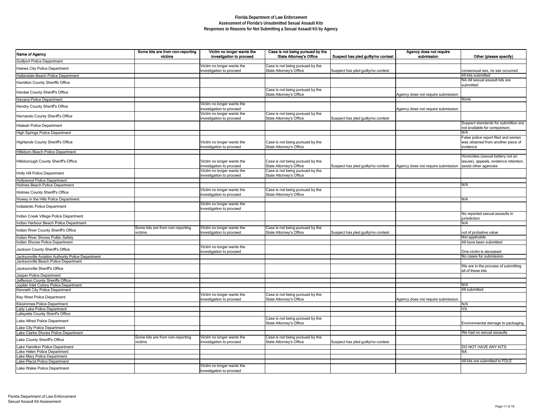| Victim no longer wants the<br>investigation to proceed | Case is not being pursued by the<br><b>State Attorney's Office</b> | Suspect has pled guilty/no contest | Agency does not require<br>submission | Other (please specify)                                                       |
|--------------------------------------------------------|--------------------------------------------------------------------|------------------------------------|---------------------------------------|------------------------------------------------------------------------------|
| Victim no longer wants the                             | Case is not being pursued by the                                   |                                    |                                       |                                                                              |
| investigation to proceed                               | <b>State Attorney's Office</b>                                     | Suspect has pled guilty/no contest |                                       | consensual sex, no sex occurred                                              |
|                                                        |                                                                    |                                    |                                       | All kits submitted                                                           |
|                                                        |                                                                    |                                    |                                       | NA All sexual assault kits are<br>submitted                                  |
|                                                        | Case is not being pursued by the<br><b>State Attorney's Office</b> |                                    | Agency does not require submission    |                                                                              |
|                                                        |                                                                    |                                    |                                       | None                                                                         |
| Victim no longer wants the<br>investigation to proceed |                                                                    |                                    |                                       |                                                                              |
| Victim no longer wants the                             | Case is not being pursued by the                                   |                                    | Agency does not require submission    |                                                                              |
| investigation to proceed                               | <b>State Attorney's Office</b>                                     | Suspect has pled guilty/no contest |                                       |                                                                              |
|                                                        |                                                                    |                                    |                                       | Suspect standards for submittion are<br>not available for comparison.<br>N/A |
|                                                        |                                                                    |                                    |                                       | False police report filed and semen                                          |
| Victim no longer wants the<br>investigation to proceed | Case is not being pursued by the<br><b>State Attorney's Office</b> |                                    |                                       | was obtained from another piece of<br>evidence                               |
|                                                        |                                                                    |                                    |                                       |                                                                              |
| Victim no longer wants the                             | Case is not being pursued by the                                   |                                    |                                       | Homicides (sexual battery not an<br>issues), appeals, evidence retention,    |
| investigation to proceed                               | <b>State Attorney's Office</b>                                     | Suspect has pled guilty/no contest | Agency does not require submission    | assist other agencies                                                        |
| Victim no longer wants the<br>investigation to proceed | Case is not being pursued by the<br><b>State Attorney's Office</b> |                                    |                                       |                                                                              |
|                                                        |                                                                    |                                    |                                       | N/A                                                                          |
| Victim no longer wants the                             | Case is not being pursued by the                                   |                                    |                                       |                                                                              |
| investigation to proceed                               | <b>State Attorney's Office</b>                                     |                                    |                                       |                                                                              |
|                                                        |                                                                    |                                    |                                       | N/A                                                                          |
| Victim no longer wants the<br>investigation to proceed |                                                                    |                                    |                                       |                                                                              |
|                                                        |                                                                    |                                    |                                       | No reported sexual assaults in<br>jurisdiction<br>N/A                        |
| Victim no longer wants the                             | Case is not being pursued by the                                   |                                    |                                       |                                                                              |
| investigation to proceed                               | <b>State Attorney's Office</b>                                     | Suspect has pled guilty/no contest |                                       | not of probative value<br>Not applicable                                     |
|                                                        |                                                                    |                                    |                                       | All have been submitted                                                      |
| Victim no longer wants the                             |                                                                    |                                    |                                       |                                                                              |
| investigation to proceed                               |                                                                    |                                    |                                       | One victim is deceased<br>No cases for submission                            |
|                                                        |                                                                    |                                    |                                       | We are in the process of submitting<br>all of these kits                     |
|                                                        |                                                                    |                                    |                                       |                                                                              |
|                                                        |                                                                    |                                    |                                       | N/A<br>All submitted                                                         |
| Victim no longer wants the                             | Case is not being pursued by the                                   |                                    |                                       |                                                                              |
| investigation to proceed                               | <b>State Attorney's Office</b>                                     |                                    | Agency does not require submission    |                                                                              |
|                                                        |                                                                    |                                    |                                       | N/A                                                                          |
|                                                        |                                                                    |                                    |                                       | n/a                                                                          |
|                                                        |                                                                    |                                    |                                       |                                                                              |
|                                                        | Case is not being pursued by the<br><b>State Attorney's Office</b> |                                    |                                       | Environmental damage to packaging                                            |
|                                                        |                                                                    |                                    |                                       | We had no sexual assaults                                                    |
| Victim no longer wants the                             | Case is not being pursued by the                                   |                                    |                                       |                                                                              |
| investigation to proceed                               | <b>State Attorney's Office</b>                                     | Suspect has pled guilty/no contest |                                       | DO NOT HAVE ANY KITS                                                         |
|                                                        |                                                                    |                                    |                                       | <b>NA</b>                                                                    |
|                                                        |                                                                    |                                    |                                       | All kits are submitted to FDLE                                               |
| Victim no longer wants the<br>investigation to proceed |                                                                    |                                    |                                       |                                                                              |

| Name of Agency                                                                            | Some kits are from non-reporting<br>victims | Victim no longer wants the<br>investigation to proceed | Case is not being pursued by the<br><b>State Attorney's Office</b> | Suspect has pled guilty/no contest | Agency does not require<br>submission | Other (please specify)                                                                             |
|-------------------------------------------------------------------------------------------|---------------------------------------------|--------------------------------------------------------|--------------------------------------------------------------------|------------------------------------|---------------------------------------|----------------------------------------------------------------------------------------------------|
| <b>Gulfport Police Department</b>                                                         |                                             |                                                        |                                                                    |                                    |                                       |                                                                                                    |
| Haines City Police Department                                                             |                                             | Victim no longer wants the<br>investigation to proceed | Case is not being pursued by the<br><b>State Attorney's Office</b> | Suspect has pled guilty/no contest |                                       | consensual sex, no sex occurred                                                                    |
| Hallandale Beach Police Department                                                        |                                             |                                                        |                                                                    |                                    |                                       | All kits submitted                                                                                 |
| Hamilton County Sheriffs Office                                                           |                                             |                                                        |                                                                    |                                    |                                       | NA All sexual assault kits are<br>submitted                                                        |
| Hardee County Sheriff's Office                                                            |                                             |                                                        | Case is not being pursued by the<br><b>State Attorney's Office</b> |                                    | Agency does not require submission    |                                                                                                    |
| Havana Police Department                                                                  |                                             |                                                        |                                                                    |                                    |                                       | None                                                                                               |
| Hendry County Sheriff's Office                                                            |                                             | Victim no longer wants the<br>investigation to proceed |                                                                    |                                    | Agency does not require submission    |                                                                                                    |
| Hernando County Sheriff's Office                                                          |                                             | Victim no longer wants the<br>investigation to proceed | Case is not being pursued by the<br>State Attorney's Office        | Suspect has pled guilty/no contest |                                       |                                                                                                    |
| Hialeah Police Department                                                                 |                                             |                                                        |                                                                    |                                    |                                       | Suspect standards for submittion are<br>not available for comparison.                              |
| High Springs Police Department                                                            |                                             |                                                        |                                                                    |                                    |                                       | N/A                                                                                                |
| Highlands County Sheriff's Office                                                         |                                             | Victim no longer wants the<br>investigation to proceed | Case is not being pursued by the<br><b>State Attorney's Office</b> |                                    |                                       | False police report filed and semen<br>was obtained from another piece of<br>evidence              |
| Hillsboro Beach Police Department                                                         |                                             |                                                        |                                                                    |                                    |                                       |                                                                                                    |
| Hillsborough County Sheriff's Office                                                      |                                             | Victim no longer wants the<br>investigation to proceed | Case is not being pursued by the<br>State Attorney's Office        | Suspect has pled guilty/no contest | Agency does not require submission    | Homicides (sexual battery not an<br>issues), appeals, evidence retention,<br>assist other agencies |
| Holly Hill Police Department                                                              |                                             | Victim no longer wants the<br>investigation to proceed | Case is not being pursued by the<br>State Attorney's Office        |                                    |                                       |                                                                                                    |
| Hollywood Police Department                                                               |                                             |                                                        |                                                                    |                                    |                                       |                                                                                                    |
| Holmes Beach Police Department                                                            |                                             |                                                        |                                                                    |                                    |                                       | N/A                                                                                                |
| Holmes County Sheriff's Office                                                            |                                             | Victim no longer wants the<br>investigation to proceed | Case is not being pursued by the<br><b>State Attorney's Office</b> |                                    |                                       |                                                                                                    |
| Howey in the Hills Police Department                                                      |                                             |                                                        |                                                                    |                                    |                                       | N/A                                                                                                |
| Indialantic Police Department                                                             |                                             | Victim no longer wants the<br>investigation to proceed |                                                                    |                                    |                                       |                                                                                                    |
| Indian Creek Village Police Department                                                    |                                             |                                                        |                                                                    |                                    |                                       | No reported sexual assaults in<br>jurisdiction                                                     |
| Indian Harbour Beach Police Department                                                    |                                             |                                                        |                                                                    |                                    |                                       | N/A                                                                                                |
| Indian River County Sheriff's Office                                                      | Some kits are from non-reporting<br>victims | Victim no longer wants the<br>investigation to proceed | Case is not being pursued by the<br>State Attorney's Office        | Suspect has pled guilty/no contest |                                       | not of probative value                                                                             |
| Indian River Shores Pulbic Safety                                                         |                                             |                                                        |                                                                    |                                    |                                       | Not applicable                                                                                     |
| Indian Shores Police Department                                                           |                                             |                                                        |                                                                    |                                    |                                       | All have been submitted                                                                            |
| Jackson County Sheriff's Office                                                           |                                             | Victim no longer wants the<br>investigation to proceed |                                                                    |                                    |                                       | One victim is deceased                                                                             |
| Jacksonville Aviation Authority Police Department<br>Jacksonville Beach Police Department |                                             |                                                        |                                                                    |                                    |                                       | No cases for submission                                                                            |
| Jacksonville Sheriff's Office                                                             |                                             |                                                        |                                                                    |                                    |                                       | We are in the process of submitting<br>all of these kits                                           |
| Jasper Police Department<br>Jefferson County Sheriffs Office                              |                                             |                                                        |                                                                    |                                    |                                       |                                                                                                    |
| Jupiter Inlet Colony Police Department                                                    |                                             |                                                        |                                                                    |                                    |                                       | N/A                                                                                                |
| Kenneth City Police Department                                                            |                                             |                                                        |                                                                    |                                    |                                       | All submitted                                                                                      |
| <b>Key West Police Department</b>                                                         |                                             | Victim no longer wants the<br>investigation to proceed | Case is not being pursued by the<br>State Attorney's Office        |                                    | Agency does not require submission    |                                                                                                    |
| Kissimmee Police Department                                                               |                                             |                                                        |                                                                    |                                    |                                       | N/A                                                                                                |
| Lady Lake Police Department                                                               |                                             |                                                        |                                                                    |                                    |                                       | n/a                                                                                                |
| Lafayette County Sherif's Office<br>Lake Alfred Police Department                         |                                             |                                                        | Case is not being pursued by the                                   |                                    |                                       |                                                                                                    |
| Lake City Police Department                                                               |                                             |                                                        | <b>State Attorney's Office</b>                                     |                                    |                                       | Environmental damage to packaging                                                                  |
| Lake Clarke Shores Police Department                                                      |                                             |                                                        |                                                                    |                                    |                                       | We had no sexual assaults                                                                          |
| Lake County Sheriff's Office                                                              | Some kits are from non-reporting<br>victims | Victim no longer wants the<br>investigation to proceed | Case is not being pursued by the<br><b>State Attorney's Office</b> | Suspect has pled guilty/no contest |                                       |                                                                                                    |
| Lake Hamilton Police Department                                                           |                                             |                                                        |                                                                    |                                    |                                       | <b>DO NOT HAVE ANY KITS</b>                                                                        |
| Lake Helen Police Department                                                              |                                             |                                                        |                                                                    |                                    |                                       | <b>NA</b>                                                                                          |
| Lake Mary Police Department                                                               |                                             |                                                        |                                                                    |                                    |                                       |                                                                                                    |
| Lake Placid Police Department                                                             |                                             | Victim no longer wants the                             |                                                                    |                                    |                                       | All kits are submitted to FDLE                                                                     |
| Lake Wales Police Department                                                              |                                             | investigation to proceed                               |                                                                    |                                    |                                       |                                                                                                    |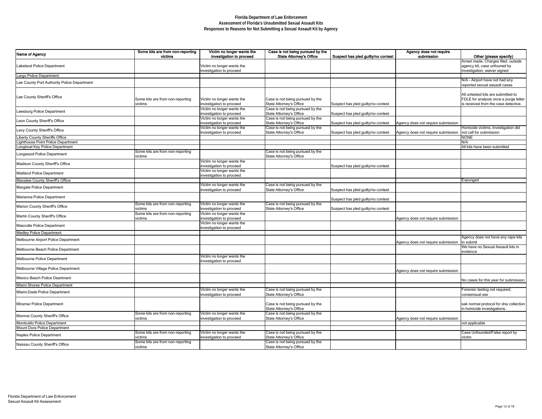| Name of Agency                              | Some kits are from non-reporting<br>victims | Victim no longer wants the<br>investigation to proceed | Case is not being pursued by the<br><b>State Attorney's Office</b> | Suspect has pled guilty/no contest | Agency does not require<br>submission | Other (please specify)                                                                                              |
|---------------------------------------------|---------------------------------------------|--------------------------------------------------------|--------------------------------------------------------------------|------------------------------------|---------------------------------------|---------------------------------------------------------------------------------------------------------------------|
| Lakeland Police Department                  |                                             | Victim no longer wants the<br>investigation to proceed |                                                                    |                                    |                                       | Arrest made, Charges filed, outside<br>agency kit, case unfouned by<br>investigation, waiver signed                 |
| Largo Police Department                     |                                             |                                                        |                                                                    |                                    |                                       |                                                                                                                     |
| Lee County Port Authority Police Department |                                             |                                                        |                                                                    |                                    |                                       | N/A - Airport have not had any<br>reported sexual assault cases                                                     |
| Lee County Sheriff's Office                 | Some kits are from non-reporting<br>victims | Victim no longer wants the<br>investigation to proceed | Case is not being pursued by the<br><b>State Attorney's Office</b> | Suspect has pled guilty/no contest |                                       | All untested kits are submitted to<br>FDLE for analysis once a purge letter<br>is received from the case detective. |
| Leesburg Police Department                  |                                             | Victim no longer wants the<br>investigation to proceed | Case is not being pursued by the<br>State Attorney's Office        | Suspect has pled guilty/no contest |                                       |                                                                                                                     |
| Leon County Sheriff's Office                |                                             | Victim no longer wants the<br>investigation to proceed | Case is not being pursued by the<br><b>State Attorney's Office</b> | Suspect has pled guilty/no contest | Agency does not require submission    |                                                                                                                     |
| Levy County Sheriff's Office                |                                             | Victim no longer wants the<br>investigation to proceed | Case is not being pursued by the<br><b>State Attorney's Office</b> | Suspect has pled guilty/no contest | Agency does not require submission    | Homicide victims, investigation did<br>not call for submission                                                      |
| Liberty County Sheriffs Office              |                                             |                                                        |                                                                    |                                    |                                       | <b>NONE</b>                                                                                                         |
| Lighthouse Point Police Department          |                                             |                                                        |                                                                    |                                    |                                       | N/A                                                                                                                 |
| Longboat Key Police Department              |                                             |                                                        |                                                                    |                                    |                                       | All kits have been submitted                                                                                        |
| Longwood Police Department                  | Some kits are from non-reporting<br>victims |                                                        | Case is not being pursued by the<br>State Attorney's Office        |                                    |                                       |                                                                                                                     |
| Madison County Sheriff's Office             |                                             | Victim no longer wants the<br>investigation to proceed |                                                                    | Suspect has pled guilty/no contest |                                       |                                                                                                                     |
| <b>Maitland Police Department</b>           |                                             | Victim no longer wants the<br>investigation to proceed |                                                                    |                                    |                                       |                                                                                                                     |
| Manatee County Sheriff's Office             |                                             |                                                        |                                                                    |                                    |                                       | Expunged                                                                                                            |
| Margate Police Department                   |                                             | Victim no longer wants the<br>investigation to proceed | Case is not being pursued by the<br><b>State Attorney's Office</b> | Suspect has pled guilty/no contest |                                       |                                                                                                                     |
| Marianna Police Department                  |                                             |                                                        |                                                                    | Suspect has pled guilty/no contest |                                       |                                                                                                                     |
| Marion County Sheriff's Office              | Some kits are from non-reporting<br>victims | Victim no longer wants the<br>investigation to proceed | Case is not being pursued by the<br><b>State Attorney's Office</b> | Suspect has pled guilty/no contest |                                       |                                                                                                                     |
| Martin County Sheriff's Office              | Some kits are from non-reporting<br>victims | Victim no longer wants the<br>investigation to proceed |                                                                    |                                    | Agency does not require submission    |                                                                                                                     |
| Mascotte Police Department                  |                                             | Victim no longer wants the<br>investigation to proceed |                                                                    |                                    |                                       |                                                                                                                     |
| <b>Medley Police Department</b>             |                                             |                                                        |                                                                    |                                    |                                       |                                                                                                                     |
| Melbourne Airport Police Department         |                                             |                                                        |                                                                    |                                    | Agency does not require submission    | Agency does not have any rape kits<br>to submit                                                                     |
| Melbourne Beach Police Department           |                                             |                                                        |                                                                    |                                    |                                       | We have no Sexual Assault kits in<br>evidence                                                                       |
| Melbourne Police Department                 |                                             | Victim no longer wants the<br>investigation to proceed |                                                                    |                                    |                                       |                                                                                                                     |
| Melbourne Village Police Department         |                                             |                                                        |                                                                    |                                    | Agency does not require submission    |                                                                                                                     |
| Mexico Beach Police Deartment               |                                             |                                                        |                                                                    |                                    |                                       | No cases for this year for submission                                                                               |
| Miami Shores Police Department              |                                             |                                                        |                                                                    |                                    |                                       |                                                                                                                     |
| Miami-Dade Police Department                |                                             | Victim no longer wants the<br>investigation to proceed | Case is not being pursued by the<br>State Attorney's Office        |                                    |                                       | Forensic testing not required;<br>consensual sex                                                                    |
| Miramar Police Department                   |                                             |                                                        | Case is not being pursued by the<br><b>State Attorney's Office</b> |                                    |                                       | sak normal protocol for dna collection<br>in homicide investigations.                                               |
| Monroe County Sheriff's Office              | Some kits are from non-reporting<br>victims | Victim no longer wants the<br>investigation to proceed | Case is not being pursued by the<br><b>State Attorney's Office</b> |                                    | Agency does not require submission    |                                                                                                                     |
| Monticello Police Department                |                                             |                                                        |                                                                    |                                    |                                       | not applicable                                                                                                      |
| Mount Dora Police Department                |                                             |                                                        |                                                                    |                                    |                                       |                                                                                                                     |
| Naples Police Department                    | Some kits are from non-reporting<br>victims | Victim no longer wants the<br>investigation to proceed | Case is not being pursued by the<br><b>State Attorney's Office</b> |                                    |                                       | Case Unfounded/False report by<br>victim                                                                            |
| Nassau County Sheriff's Office              | Some kits are from non-reporting<br>victims |                                                        | Case is not being pursued by the<br><b>State Attorney's Office</b> |                                    |                                       |                                                                                                                     |

| Case is not being pursued by the                                   |                                    | Agency does not require            |                                                 |
|--------------------------------------------------------------------|------------------------------------|------------------------------------|-------------------------------------------------|
| <b>State Attorney's Office</b>                                     | Suspect has pled guilty/no contest | submission                         | Other (please specify)                          |
|                                                                    |                                    |                                    | Arrest made, Charges filed, outside             |
|                                                                    |                                    |                                    | agency kit, case unfouned by                    |
|                                                                    |                                    |                                    | investigation, waiver signed                    |
|                                                                    |                                    |                                    |                                                 |
|                                                                    |                                    |                                    | N/A - Airport have not had any                  |
|                                                                    |                                    |                                    | reported sexual assault cases                   |
|                                                                    |                                    |                                    | All untested kits are submitted to              |
| Case is not being pursued by the                                   |                                    |                                    | FDLE for analysis once a purge letter           |
| <b>State Attorney's Office</b>                                     | Suspect has pled guilty/no contest |                                    | is received from the case detective.            |
| Case is not being pursued by the                                   |                                    |                                    |                                                 |
| <b>State Attorney's Office</b>                                     | Suspect has pled guilty/no contest |                                    |                                                 |
| Case is not being pursued by the                                   |                                    |                                    |                                                 |
| State Attorney's Office                                            | Suspect has pled guilty/no contest | Agency does not require submission |                                                 |
| Case is not being pursued by the                                   |                                    |                                    | Homicide victims, investigation did             |
| <b>State Attorney's Office</b>                                     | Suspect has pled guilty/no contest | Agency does not require submission | not call for submission                         |
|                                                                    |                                    |                                    | <b>NONE</b>                                     |
|                                                                    |                                    |                                    | N/A                                             |
|                                                                    |                                    |                                    | All kits have been submitted                    |
| Case is not being pursued by the                                   |                                    |                                    |                                                 |
| <b>State Attorney's Office</b>                                     |                                    |                                    |                                                 |
|                                                                    |                                    |                                    |                                                 |
|                                                                    | Suspect has pled guilty/no contest |                                    |                                                 |
|                                                                    |                                    |                                    |                                                 |
|                                                                    |                                    |                                    |                                                 |
|                                                                    |                                    |                                    | Expunged                                        |
| Case is not being pursued by the                                   |                                    |                                    |                                                 |
| <b>State Attorney's Office</b>                                     | Suspect has pled guilty/no contest |                                    |                                                 |
|                                                                    |                                    |                                    |                                                 |
|                                                                    | Suspect has pled guilty/no contest |                                    |                                                 |
| Case is not being pursued by the                                   |                                    |                                    |                                                 |
| <b>State Attorney's Office</b>                                     | Suspect has pled guilty/no contest |                                    |                                                 |
|                                                                    |                                    |                                    |                                                 |
|                                                                    |                                    | Agency does not require submission |                                                 |
|                                                                    |                                    |                                    |                                                 |
|                                                                    |                                    |                                    |                                                 |
|                                                                    |                                    |                                    |                                                 |
|                                                                    |                                    |                                    | Agency does not have any rape kits<br>to submit |
|                                                                    |                                    | Agency does not require submission | We have no Sexual Assault kits in               |
|                                                                    |                                    |                                    | evidence                                        |
|                                                                    |                                    |                                    |                                                 |
|                                                                    |                                    |                                    |                                                 |
|                                                                    |                                    |                                    |                                                 |
|                                                                    |                                    | Agency does not require submission |                                                 |
|                                                                    |                                    |                                    |                                                 |
|                                                                    |                                    |                                    | No cases for this year for submission           |
|                                                                    |                                    |                                    |                                                 |
| Case is not being pursued by the                                   |                                    |                                    | Forensic testing not required;                  |
| <b>State Attorney's Office</b>                                     |                                    |                                    | consensual sex                                  |
|                                                                    |                                    |                                    |                                                 |
| Case is not being pursued by the                                   |                                    |                                    | sak normal protocol for dna collection          |
| <b>State Attorney's Office</b>                                     |                                    |                                    | in homicide investigations.                     |
| Case is not being pursued by the                                   |                                    |                                    |                                                 |
| <b>State Attorney's Office</b>                                     |                                    | Agency does not require submission |                                                 |
|                                                                    |                                    |                                    | not applicable                                  |
|                                                                    |                                    |                                    |                                                 |
| Case is not being pursued by the                                   |                                    |                                    | Case Unfounded/False report by                  |
| <b>State Attorney's Office</b><br>Case is not being pursued by the |                                    |                                    | victim                                          |
| <b>State Attorney's Office</b>                                     |                                    |                                    |                                                 |
|                                                                    |                                    |                                    |                                                 |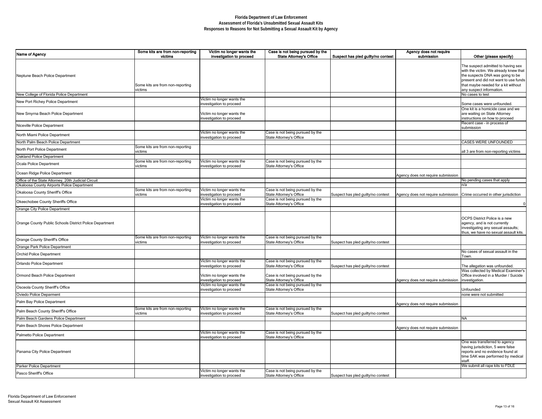| Victim no longer wants the<br>investigation to proceed                             | Case is not being pursued by the<br><b>State Attorney's Office</b>                                   | Suspect has pled guilty/no contest | Agency does not require<br>submission | Other (please specify)                                                                                                                                                                                                      |
|------------------------------------------------------------------------------------|------------------------------------------------------------------------------------------------------|------------------------------------|---------------------------------------|-----------------------------------------------------------------------------------------------------------------------------------------------------------------------------------------------------------------------------|
|                                                                                    |                                                                                                      |                                    |                                       | The suspect admitted to having sex<br>with the victim. We already knew that<br>the suspects DNA was going to be<br>present and did not want to use funds<br>that maybe needed for a kit without<br>any suspect information. |
|                                                                                    |                                                                                                      |                                    |                                       | No cases to test                                                                                                                                                                                                            |
| Victim no longer wants the<br>investigation to proceed                             |                                                                                                      |                                    |                                       | Some cases were unfounded.                                                                                                                                                                                                  |
| Victim no longer wants the<br>investigation to proceed                             |                                                                                                      |                                    |                                       | One kit is a homicide case and we<br>are waiting on State Attorney<br>instructions on how to proceed                                                                                                                        |
|                                                                                    |                                                                                                      |                                    |                                       | Recent case - in process of<br>submission                                                                                                                                                                                   |
| Victim no longer wants the<br>investigation to proceed                             | Case is not being pursued by the<br><b>State Attorney's Office</b>                                   |                                    |                                       |                                                                                                                                                                                                                             |
|                                                                                    |                                                                                                      |                                    |                                       | <b>CASES WERE UNFOUNDED</b>                                                                                                                                                                                                 |
|                                                                                    |                                                                                                      |                                    |                                       | all 3 are from non-reporting victims                                                                                                                                                                                        |
| Victim no longer wants the<br>investigation to proceed                             | Case is not being pursued by the<br>State Attorney's Office                                          |                                    |                                       |                                                                                                                                                                                                                             |
|                                                                                    |                                                                                                      |                                    |                                       |                                                                                                                                                                                                                             |
|                                                                                    |                                                                                                      |                                    | Agency does not require submission    | No pending cases that apply                                                                                                                                                                                                 |
|                                                                                    |                                                                                                      |                                    |                                       | ln/a                                                                                                                                                                                                                        |
| Victim no longer wants the                                                         | Case is not being pursued by the                                                                     |                                    |                                       |                                                                                                                                                                                                                             |
| investigation to proceed                                                           | <b>State Attorney's Office</b>                                                                       | Suspect has pled guilty/no contest | Agency does not require submission    | Crime occurred in other jurisdiction                                                                                                                                                                                        |
| Victim no longer wants the<br>investigation to proceed                             | Case is not being pursued by the<br><b>State Attorney's Office</b>                                   |                                    |                                       | $\mathbf 0$                                                                                                                                                                                                                 |
|                                                                                    |                                                                                                      |                                    |                                       |                                                                                                                                                                                                                             |
| Victim no longer wants the<br>investigation to proceed                             | Case is not being pursued by the<br><b>State Attorney's Office</b>                                   | Suspect has pled guilty/no contest |                                       | <b>OCPS District Police is a new</b><br>agency, and is not currently<br>investigating any sexual assaults;<br>thus, we have no sexual assault kits.                                                                         |
|                                                                                    |                                                                                                      |                                    |                                       |                                                                                                                                                                                                                             |
|                                                                                    |                                                                                                      |                                    |                                       | No cases of sexual assault in the<br>Town.                                                                                                                                                                                  |
| Victim no longer wants the                                                         | Case is not being pursued by the                                                                     |                                    |                                       |                                                                                                                                                                                                                             |
| investigation to proceed<br>Victim no longer wants the<br>investigation to proceed | <b>State Attorney's Office</b><br>Case is not being pursued by the<br><b>State Attorney's Office</b> | Suspect has pled guilty/no contest | Agency does not require submission    | The allegation was unfounded.<br>Was collected by Medical Examiner's<br>Office involved in a Murder / Suicide<br>investigation.                                                                                             |
| Victim no longer wants the<br>investigation to proceed                             | Case is not being pursued by the<br><b>State Attorney's Office</b>                                   |                                    |                                       | Unfounded                                                                                                                                                                                                                   |
|                                                                                    |                                                                                                      |                                    |                                       | none were not submitted                                                                                                                                                                                                     |
|                                                                                    |                                                                                                      |                                    | Agency does not require submission    |                                                                                                                                                                                                                             |
| Victim no longer wants the<br>investigation to proceed                             | Case is not being pursued by the<br><b>State Attorney's Office</b>                                   | Suspect has pled guilty/no contest |                                       | <b>NA</b>                                                                                                                                                                                                                   |
|                                                                                    |                                                                                                      |                                    | Agency does not require submission    |                                                                                                                                                                                                                             |
| Victim no longer wants the                                                         | Case is not being pursued by the                                                                     |                                    |                                       |                                                                                                                                                                                                                             |
| investigation to proceed                                                           | <b>State Attorney's Office</b>                                                                       |                                    |                                       | One was transferred to agency                                                                                                                                                                                               |
|                                                                                    |                                                                                                      |                                    |                                       | having jurisdiction, 5 were false<br>reports and no evidence found at<br>time SAK was performed by medical<br>staff.                                                                                                        |
|                                                                                    |                                                                                                      |                                    |                                       | We submit all rape kits to FDLE                                                                                                                                                                                             |
| Victim no longer wants the<br>investigation to proceed                             | Case is not being pursued by the<br><b>State Attorney's Office</b>                                   | Suspect has pled guilty/no contest |                                       |                                                                                                                                                                                                                             |

| Name of Agency                                          | Some kits are from non-reporting<br>victims | Victim no longer wants the<br>investigation to proceed | Case is not being pursued by the<br><b>State Attorney's Office</b> | Suspect has pled guilty/no contest | Agency does not require<br>submission                                   | Other (please specify)                                                   |
|---------------------------------------------------------|---------------------------------------------|--------------------------------------------------------|--------------------------------------------------------------------|------------------------------------|-------------------------------------------------------------------------|--------------------------------------------------------------------------|
|                                                         |                                             |                                                        |                                                                    |                                    |                                                                         |                                                                          |
|                                                         |                                             |                                                        |                                                                    |                                    |                                                                         | The suspect admitted to having se<br>with the victim. We already knew tl |
| Neptune Beach Police Department                         |                                             |                                                        |                                                                    |                                    |                                                                         | the suspects DNA was going to be                                         |
|                                                         |                                             |                                                        |                                                                    |                                    |                                                                         | present and did not want to use fur                                      |
|                                                         | Some kits are from non-reporting<br>victims |                                                        |                                                                    |                                    |                                                                         | that maybe needed for a kit withou<br>any suspect information.           |
| New College of Florida Police Department                |                                             |                                                        |                                                                    |                                    |                                                                         | No cases to test                                                         |
| New Port Richey Police Department                       |                                             | Victim no longer wants the<br>investigation to proceed |                                                                    |                                    |                                                                         | Some cases were unfounded.                                               |
|                                                         |                                             |                                                        |                                                                    |                                    |                                                                         | One kit is a homicide case and we                                        |
| New Smyrna Beach Police Department                      |                                             | Victim no longer wants the                             |                                                                    |                                    |                                                                         | are waiting on State Attorney                                            |
|                                                         |                                             | investigation to proceed                               |                                                                    |                                    |                                                                         | instructions on how to proceed<br>Recent case - in process of            |
| Niceville Police Department                             |                                             |                                                        |                                                                    |                                    |                                                                         | submission                                                               |
| North Miami Police Department                           |                                             | Victim no longer wants the<br>investigation to proceed | Case is not being pursued by the<br>State Attorney's Office        |                                    |                                                                         |                                                                          |
| North Palm Beach Police Department                      |                                             |                                                        |                                                                    |                                    |                                                                         | <b>CASES WERE UNFOUNDED</b>                                              |
| North Port Police Department                            | Some kits are from non-reporting            |                                                        |                                                                    |                                    |                                                                         |                                                                          |
| Oakland Police Department                               | victims                                     |                                                        |                                                                    |                                    |                                                                         | all 3 are from non-reporting victims                                     |
| Ocala Police Department                                 | Some kits are from non-reporting            | Victim no longer wants the                             | Case is not being pursued by the                                   |                                    |                                                                         |                                                                          |
|                                                         | victims                                     | investigation to proceed                               | State Attorney's Office                                            |                                    |                                                                         |                                                                          |
| Ocean Ridge Police Department                           |                                             |                                                        |                                                                    |                                    | Agency does not require submission                                      |                                                                          |
| Office of the State Attorney, 20th Judicial Circuit     |                                             |                                                        |                                                                    |                                    |                                                                         | No pending cases that apply                                              |
| Okaloosa County Airports Police Department              | Some kits are from non-reporting            | Victim no longer wants the                             | Case is not being pursued by the                                   |                                    |                                                                         | ∣n/a                                                                     |
| Okaloosa County Sheriff's Office                        | victims                                     | investigation to proceed                               | State Attorney's Office                                            | Suspect has pled guilty/no contest | Agency does not require submission Crime occurred in other jurisdiction |                                                                          |
| Okeechobee County Sheriffs Office                       |                                             | Victim no longer wants the<br>investigation to proceed | Case is not being pursued by the<br><b>State Attorney's Office</b> |                                    |                                                                         |                                                                          |
| Orange City Police Department                           |                                             |                                                        |                                                                    |                                    |                                                                         |                                                                          |
|                                                         |                                             |                                                        |                                                                    |                                    |                                                                         | OCPS District Police is a new                                            |
| Orange County Public Schools District Police Department |                                             |                                                        |                                                                    |                                    |                                                                         | agency, and is not currently                                             |
|                                                         |                                             |                                                        |                                                                    |                                    |                                                                         | investigating any sexual assaults;                                       |
|                                                         | Some kits are from non-reporting            | Victim no longer wants the                             | Case is not being pursued by the                                   |                                    |                                                                         | thus, we have no sexual assault ki                                       |
| Orange County Sheriff's Office                          | victims                                     | investigation to proceed                               | State Attorney's Office                                            | Suspect has pled guilty/no contest |                                                                         |                                                                          |
| Orange Park Police Department                           |                                             |                                                        |                                                                    |                                    |                                                                         |                                                                          |
| <b>Orchid Police Department</b>                         |                                             |                                                        |                                                                    |                                    |                                                                         | No cases of sexual assault in the<br>Town.                               |
| <b>Orlando Police Department</b>                        |                                             | Victim no longer wants the                             | Case is not being pursued by the                                   |                                    |                                                                         |                                                                          |
|                                                         |                                             | investigation to proceed                               | State Attorney's Office                                            | Suspect has pled guilty/no contest |                                                                         | The allegation was unfounded.<br>Was collected by Medical Examine        |
| Ormond Beach Police Department                          |                                             | Victim no longer wants the                             | Case is not being pursued by the                                   |                                    |                                                                         | Office involved in a Murder / Suicid                                     |
|                                                         |                                             | investigation to proceed                               | State Attorney's Office                                            |                                    | Agency does not require submission                                      | investigation.                                                           |
| Osceola County Sheriff's Office                         |                                             | Victim no longer wants the<br>investigation to proceed | Case is not being pursued by the<br>State Attorney's Office        |                                    |                                                                         | Unfounded                                                                |
| <b>Oviedo Police Deparment</b>                          |                                             |                                                        |                                                                    |                                    |                                                                         | none were not submitted                                                  |
| Palm Bay Police Department                              |                                             |                                                        |                                                                    |                                    | Agency does not require submission                                      |                                                                          |
| Palm Beach County Sheriff's Office                      | Some kits are from non-reporting            | Victim no longer wants the                             | Case is not being pursued by the                                   |                                    |                                                                         |                                                                          |
| Palm Beach Gardens Police Department                    | victims                                     | investigation to proceed                               | <b>State Attorney's Office</b>                                     | Suspect has pled guilty/no contest |                                                                         | <b>NA</b>                                                                |
|                                                         |                                             |                                                        |                                                                    |                                    |                                                                         |                                                                          |
| Palm Beach Shores Police Department                     |                                             |                                                        |                                                                    |                                    | Agency does not require submission                                      |                                                                          |
| Palmetto Police Department                              |                                             | Victim no longer wants the<br>investigation to proceed | Case is not being pursued by the<br>State Attorney's Office        |                                    |                                                                         |                                                                          |
|                                                         |                                             |                                                        |                                                                    |                                    |                                                                         | One was transferred to agency                                            |
|                                                         |                                             |                                                        |                                                                    |                                    |                                                                         | having jurisdiction, 5 were false<br>reports and no evidence found at    |
| Panama City Police Department                           |                                             |                                                        |                                                                    |                                    |                                                                         | time SAK was performed by medic                                          |
|                                                         |                                             |                                                        |                                                                    |                                    |                                                                         | staff.                                                                   |
| Parker Police Department                                |                                             | Victim no longer wants the                             | Case is not being pursued by the                                   |                                    |                                                                         | We submit all rape kits to FDLE                                          |
| Pasco Sheriff's Office                                  |                                             | investigation to proceed                               | State Attorney's Office                                            | Suspect has pled guilty/no contest |                                                                         |                                                                          |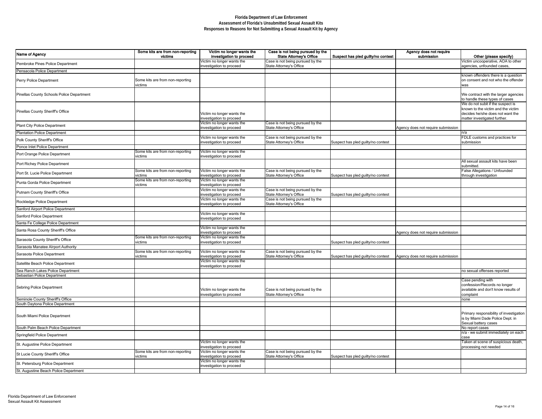| Name of Agency                            | Some kits are from non-reporting<br>victims | Victim no longer wants the<br>investigation to proceed | Case is not being pursued by the<br><b>State Attorney's Office</b> | Suspect has pled guilty/no contest | Agency does not require<br>submission | Other (please specify)                                                                                                                      |
|-------------------------------------------|---------------------------------------------|--------------------------------------------------------|--------------------------------------------------------------------|------------------------------------|---------------------------------------|---------------------------------------------------------------------------------------------------------------------------------------------|
| Pembroke Pines Police Department          |                                             | Victim no longer wants the<br>investigation to proceed | Case is not being pursued by the<br>State Attorney's Office        |                                    |                                       | Victim uncooperative, AOA to other<br>agencies, unfounded cases,                                                                            |
| Pensacola Police Department               |                                             |                                                        |                                                                    |                                    |                                       |                                                                                                                                             |
| <b>Perry Police Department</b>            | Some kits are from non-reporting<br>victims |                                                        |                                                                    |                                    |                                       | known offenders there is a question<br>on consent and not who the offender<br>was                                                           |
| Pinellas County Schools Police Department |                                             |                                                        |                                                                    |                                    |                                       | We contract with the larger agencies<br>to handle these types of cases                                                                      |
| Pinellas County Sheriff's Office          |                                             | Victim no longer wants the<br>investigation to proceed |                                                                    |                                    |                                       | We do not subit if the suspect is<br>known to the victim and the victim<br>decides he/she does not want the<br>matter investigated further. |
| <b>Plant City Police Department</b>       |                                             | Victim no longer wants the<br>investigation to proceed | Case is not being pursued by the<br>State Attorney's Office        |                                    | Agency does not require submission    |                                                                                                                                             |
| Plantation Police Department              |                                             |                                                        |                                                                    |                                    |                                       | n/a                                                                                                                                         |
| Polk County Sheriff's Office              |                                             | Victim no longer wants the<br>investigation to proceed | Case is not being pursued by the<br>State Attorney's Office        | Suspect has pled guilty/no contest |                                       | FDLE customs and practices for<br>submission                                                                                                |
| Ponce Inlet Police Department             |                                             |                                                        |                                                                    |                                    |                                       |                                                                                                                                             |
| Port Orange Police Department             | Some kits are from non-reporting<br>victims | Victim no longer wants the<br>investigation to proceed |                                                                    |                                    |                                       |                                                                                                                                             |
| Port Richey Police Department             |                                             |                                                        |                                                                    |                                    |                                       | All sexual assault kits have been<br>submitted.                                                                                             |
| Port St. Lucie Police Department          | Some kits are from non-reporting<br>victims | Victim no longer wants the<br>investigation to proceed | Case is not being pursued by the<br>State Attorney's Office        | Suspect has pled guilty/no contest |                                       | <b>False Allegations / Unfounded</b><br>through investigation                                                                               |
| Punta Gorda Police Department             | Some kits are from non-reporting<br>victims | Victim no longer wants the<br>investigation to proceed |                                                                    |                                    |                                       |                                                                                                                                             |
| Putnam County Sheriff's Office            |                                             | Victim no longer wants the<br>investigation to proceed | Case is not being pursued by the<br>State Attorney's Office        | Suspect has pled guilty/no contest |                                       |                                                                                                                                             |
| Rockledge Police Department               |                                             | Victim no longer wants the<br>investigation to proceed | Case is not being pursued by the<br>State Attorney's Office        |                                    |                                       |                                                                                                                                             |
| Sanford Airport Police Department         |                                             |                                                        |                                                                    |                                    |                                       |                                                                                                                                             |
| Sanford Police Department                 |                                             | Victim no longer wants the<br>investigation to proceed |                                                                    |                                    |                                       |                                                                                                                                             |
| Santa Fe College Police Department        |                                             |                                                        |                                                                    |                                    |                                       |                                                                                                                                             |
| Santa Rosa County Sheriff's Office        |                                             | Victim no longer wants the<br>investigation to proceed |                                                                    |                                    | Agency does not require submission    |                                                                                                                                             |
| Sarasota County Sheriff's Office          | Some kits are from non-reporting<br>victims | Victim no longer wants the<br>investigation to proceed |                                                                    | Suspect has pled guilty/no contest |                                       |                                                                                                                                             |
| Sarasota Manatee Alrport Authority        |                                             |                                                        |                                                                    |                                    |                                       |                                                                                                                                             |
| Sarasota Police Department                | Some kits are from non-reporting<br>victims | Victim no longer wants the<br>investigation to proceed | Case is not being pursued by the<br>State Attorney's Office        | Suspect has pled guilty/no contest | Agency does not require submission    |                                                                                                                                             |
| Satellite Beach Police Department         |                                             | Victim no longer wants the<br>investigation to proceed |                                                                    |                                    |                                       |                                                                                                                                             |
| Sea Ranch Lakes Police Department         |                                             |                                                        |                                                                    |                                    |                                       | no sexual offenses reported                                                                                                                 |
| Sebastian Police Department               |                                             |                                                        |                                                                    |                                    |                                       |                                                                                                                                             |
| Sebring Police Department                 |                                             | Victim no longer wants the<br>investigation to proceed | Case is not being pursued by the<br>State Attorney's Office        |                                    |                                       | Case pending with<br>confession/Records no longer<br>available and don't know results of<br>complaint                                       |
| Seminole County Sheriff's Office          |                                             |                                                        |                                                                    |                                    |                                       | none                                                                                                                                        |
| South Daytona Police Department           |                                             |                                                        |                                                                    |                                    |                                       |                                                                                                                                             |
| South Miami Police Department             |                                             |                                                        |                                                                    |                                    |                                       | Primary responsibility of investigation<br>is by Miami Dade Police Dept. in<br>Sexual battery cases                                         |
| South Palm Beach Police Department        |                                             |                                                        |                                                                    |                                    |                                       | No report cases                                                                                                                             |
| Springfield Police Department             |                                             |                                                        |                                                                    |                                    |                                       | n/a - we submit immediately on each<br>case                                                                                                 |
| St. Augustine Police Department           |                                             | Victim no longer wants the<br>investigation to proceed |                                                                    |                                    |                                       | Taken at scene of suspicious death,<br>processing not needed                                                                                |
| St Lucie County Sheriff's Office          | Some kits are from non-reporting<br>victims | Victim no longer wants the<br>investigation to proceed | Case is not being pursued by the<br>State Attorney's Office        | Suspect has pled guilty/no contest |                                       |                                                                                                                                             |
| St. Petersburg Police Department          |                                             | Victim no longer wants the<br>investigation to proceed |                                                                    |                                    |                                       |                                                                                                                                             |
| St. Augustine Beach Police Department     |                                             |                                                        |                                                                    |                                    |                                       |                                                                                                                                             |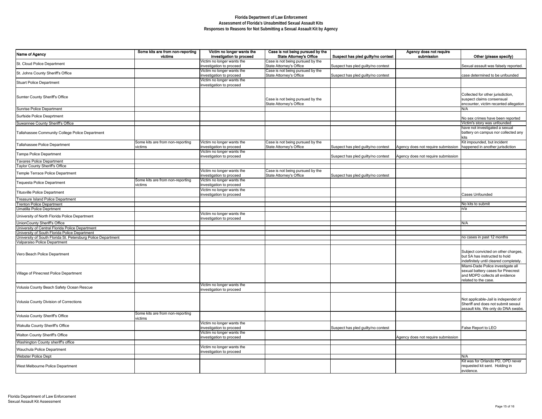| Name of Agency                                                                                                                                | Some kits are from non-reporting<br>victims | Victim no longer wants the<br>investigation to proceed | Case is not being pursued by the<br><b>State Attorney's Office</b> | Suspect has pled guilty/no contest | Agency does not require<br>submission | Other (please specify)                                                                                                            |
|-----------------------------------------------------------------------------------------------------------------------------------------------|---------------------------------------------|--------------------------------------------------------|--------------------------------------------------------------------|------------------------------------|---------------------------------------|-----------------------------------------------------------------------------------------------------------------------------------|
| St. Cloud Police Department                                                                                                                   |                                             | Victim no longer wants the                             | Case is not being pursued by the                                   |                                    |                                       |                                                                                                                                   |
| St. Johns County Sheriff's Office                                                                                                             |                                             | investigation to proceed<br>Victim no longer wants the | State Attorney's Office<br>Case is not being pursued by the        | Suspect has pled guilty/no contest |                                       | Sexual assault was falsely reported                                                                                               |
| <b>Stuart Police Department</b>                                                                                                               |                                             | investigation to proceed<br>Victim no longer wants the | State Attorney's Office                                            | Suspect has pled guilty/no contest |                                       | case determined to be unfounded                                                                                                   |
|                                                                                                                                               |                                             | investigation to proceed                               |                                                                    |                                    |                                       |                                                                                                                                   |
| Sumter County Sheriff's Office                                                                                                                |                                             |                                                        | Case is not being pursued by the<br>State Attorney's Office        |                                    |                                       | Collected for other jurisdiction,<br>suspect claims consensual<br>encounter, victim recanted allegatior                           |
| Sunrise Police Department                                                                                                                     |                                             |                                                        |                                                                    |                                    |                                       | N/A                                                                                                                               |
| Surfside Police Deaprtment                                                                                                                    |                                             |                                                        |                                                                    |                                    |                                       | No sex crimes have been reported                                                                                                  |
| Suwannee County Sheriff's Office<br>Tallahassee Community College Police Department                                                           |                                             |                                                        |                                                                    |                                    |                                       | Victim's story was unfounded<br>have not investigated a sexual<br>battery on campus nor collected any                             |
|                                                                                                                                               |                                             |                                                        |                                                                    |                                    |                                       | kits                                                                                                                              |
| Tallahassee Police Department                                                                                                                 | Some kits are from non-reporting<br>victims | Victim no longer wants the<br>investigation to proceed | Case is not being pursued by the<br>State Attorney's Office        | Suspect has pled guilty/no contest | Agency does not require submission    | Kit impounded, but incident<br>happened in another jurisdiction                                                                   |
| Tampa Police Department                                                                                                                       |                                             | Victim no longer wants the<br>investigation to proceed |                                                                    | Suspect has pled guilty/no contest | Agency does not require submission    |                                                                                                                                   |
| Tavares Police Department                                                                                                                     |                                             |                                                        |                                                                    |                                    |                                       |                                                                                                                                   |
| <b>Taylor County Sheriff's Office</b>                                                                                                         |                                             | Victim no longer wants the                             |                                                                    |                                    |                                       |                                                                                                                                   |
| Temple Terrace Police Department                                                                                                              |                                             | investigation to proceed                               | Case is not being pursued by the<br>State Attorney's Office        | Suspect has pled guilty/no contest |                                       |                                                                                                                                   |
| Tequesta Police Department                                                                                                                    | Some kits are from non-reporting<br>victims | Victim no longer wants the<br>investigation to proceed |                                                                    |                                    |                                       |                                                                                                                                   |
| Titusville Police Department                                                                                                                  |                                             | Victim no longer wants the<br>investigation to proceed |                                                                    |                                    |                                       | <b>Cases Unfounded</b>                                                                                                            |
| Treasure Island Police Department                                                                                                             |                                             |                                                        |                                                                    |                                    |                                       |                                                                                                                                   |
| <b>Trenton Police Department</b>                                                                                                              |                                             |                                                        |                                                                    |                                    |                                       | No kits to submit                                                                                                                 |
| Umatilla Police Deprtment                                                                                                                     |                                             |                                                        |                                                                    |                                    |                                       | n/a                                                                                                                               |
| University of North Florida Police Department                                                                                                 |                                             | Victim no longer wants the<br>investigation to proceed |                                                                    |                                    |                                       |                                                                                                                                   |
| UnionCounty Sheriff's Office                                                                                                                  |                                             |                                                        |                                                                    |                                    |                                       | N/A                                                                                                                               |
| University of Central Florida Police Department                                                                                               |                                             |                                                        |                                                                    |                                    |                                       |                                                                                                                                   |
| University of South Florida Police Department<br>University of South Florida St. Petersburg Police Department<br>Valparaiso Police Department |                                             |                                                        |                                                                    |                                    |                                       | no cases in past 12 months                                                                                                        |
|                                                                                                                                               |                                             |                                                        |                                                                    |                                    |                                       |                                                                                                                                   |
| Vero Beach Police Department                                                                                                                  |                                             |                                                        |                                                                    |                                    |                                       | Subject convicted on other charges,<br>but SA has instructed to hold<br>indefinitely until cleared completely.                    |
| Village of Pinecrest Police Department                                                                                                        |                                             |                                                        |                                                                    |                                    |                                       | Miami-Dade Police investigate all<br>sexual battery cases for Pinecrest<br>and MDPD collects all evidence<br>related to the case. |
| Volusia County Beach Safety Ocean Rescue                                                                                                      |                                             | Victim no longer wants the<br>investigation to proceed |                                                                    |                                    |                                       |                                                                                                                                   |
| Volusia County Division of Corrections                                                                                                        |                                             |                                                        |                                                                    |                                    |                                       | Not applicable-Jail is independet of<br>Sheriff and does not submit sexaul<br>assault kits. We only do DNA swabs                  |
| Volusia County Sheriff's Office                                                                                                               | Some kits are from non-reporting<br>victims |                                                        |                                                                    |                                    |                                       |                                                                                                                                   |
| <b>Wakulla County Sheriff's Office</b>                                                                                                        |                                             | Victim no longer wants the<br>investigation to proceed |                                                                    | Suspect has pled guilty/no contest |                                       | False Report to LEO                                                                                                               |
| <b>Walton County Sheriff's Office</b>                                                                                                         |                                             | Victim no longer wants the<br>investigation to proceed |                                                                    |                                    | Agency does not require submission    |                                                                                                                                   |
| Washington County sheriff's office                                                                                                            |                                             |                                                        |                                                                    |                                    |                                       |                                                                                                                                   |
| <b>Wauchula Police Department</b>                                                                                                             |                                             | Victim no longer wants the<br>investigation to proceed |                                                                    |                                    |                                       |                                                                                                                                   |
| <b>Webster Police Dept</b>                                                                                                                    |                                             |                                                        |                                                                    |                                    |                                       | N/A                                                                                                                               |
| <b>West Melbourne Police Department</b>                                                                                                       |                                             |                                                        |                                                                    |                                    |                                       | Kit was for Orlando PD, OPD never<br>requested kit sent. Holding in<br>evidence.                                                  |

| Victim no longer wants the | Case is not being pursued by the |                                    | Agency does not require            |                                        |
|----------------------------|----------------------------------|------------------------------------|------------------------------------|----------------------------------------|
| investigation to proceed   | <b>State Attorney's Office</b>   | Suspect has pled guilty/no contest | submission                         | Other (please specify)                 |
| Victim no longer wants the | Case is not being pursued by the |                                    |                                    |                                        |
| investigation to proceed   | <b>State Attorney's Office</b>   | Suspect has pled guilty/no contest |                                    | Sexual assault was falsely reported.   |
| Victim no longer wants the | Case is not being pursued by the |                                    |                                    |                                        |
| investigation to proceed   | <b>State Attorney's Office</b>   | Suspect has pled guilty/no contest |                                    | case determined to be unfounded        |
| Victim no longer wants the |                                  |                                    |                                    |                                        |
| investigation to proceed   |                                  |                                    |                                    |                                        |
|                            |                                  |                                    |                                    |                                        |
|                            |                                  |                                    |                                    | Collected for other jurisdiction,      |
|                            | Case is not being pursued by the |                                    |                                    | suspect claims consensual              |
|                            | <b>State Attorney's Office</b>   |                                    |                                    | encounter, victim recanted allegation  |
|                            |                                  |                                    |                                    | N/A                                    |
|                            |                                  |                                    |                                    |                                        |
|                            |                                  |                                    |                                    | No sex crimes have been reported       |
|                            |                                  |                                    |                                    | Victim's story was unfounded           |
|                            |                                  |                                    |                                    | have not investigated a sexual         |
|                            |                                  |                                    |                                    | battery on campus nor collected any    |
|                            |                                  |                                    |                                    | kits                                   |
| Victim no longer wants the | Case is not being pursued by the |                                    |                                    | Kit impounded, but incident            |
| investigation to proceed   | <b>State Attorney's Office</b>   | Suspect has pled guilty/no contest | Agency does not require submission | happened in another jurisdiction       |
| Victim no longer wants the |                                  |                                    |                                    |                                        |
|                            |                                  |                                    |                                    |                                        |
| investigation to proceed   |                                  | Suspect has pled guilty/no contest | Agency does not require submission |                                        |
|                            |                                  |                                    |                                    |                                        |
|                            |                                  |                                    |                                    |                                        |
| Victim no longer wants the | Case is not being pursued by the |                                    |                                    |                                        |
| investigation to proceed   | <b>State Attorney's Office</b>   | Suspect has pled guilty/no contest |                                    |                                        |
| Victim no longer wants the |                                  |                                    |                                    |                                        |
| investigation to proceed   |                                  |                                    |                                    |                                        |
| Victim no longer wants the |                                  |                                    |                                    |                                        |
| investigation to proceed   |                                  |                                    |                                    | <b>Cases Unfounded</b>                 |
|                            |                                  |                                    |                                    |                                        |
|                            |                                  |                                    |                                    | No kits to submit                      |
|                            |                                  |                                    |                                    | n/a                                    |
| Victim no longer wants the |                                  |                                    |                                    |                                        |
| investigation to proceed   |                                  |                                    |                                    |                                        |
|                            |                                  |                                    |                                    | N/A                                    |
|                            |                                  |                                    |                                    |                                        |
|                            |                                  |                                    |                                    |                                        |
|                            |                                  |                                    |                                    | no cases in past 12 months             |
|                            |                                  |                                    |                                    |                                        |
|                            |                                  |                                    |                                    |                                        |
|                            |                                  |                                    |                                    | Subject convicted on other charges,    |
|                            |                                  |                                    |                                    | but SA has instructed to hold          |
|                            |                                  |                                    |                                    | indefinitely until cleared completely. |
|                            |                                  |                                    |                                    | Miami-Dade Police investigate all      |
|                            |                                  |                                    |                                    | sexual battery cases for Pinecrest     |
|                            |                                  |                                    |                                    | and MDPD collects all evidence         |
|                            |                                  |                                    |                                    | related to the case.                   |
| Victim no longer wants the |                                  |                                    |                                    |                                        |
| investigation to proceed   |                                  |                                    |                                    |                                        |
|                            |                                  |                                    |                                    |                                        |
|                            |                                  |                                    |                                    | Not applicable-Jail is independet of   |
|                            |                                  |                                    |                                    | Sheriff and does not submit sexaul     |
|                            |                                  |                                    |                                    | assault kits. We only do DNA swabs.    |
|                            |                                  |                                    |                                    |                                        |
|                            |                                  |                                    |                                    |                                        |
| Victim no longer wants the |                                  |                                    |                                    |                                        |
| investigation to proceed   |                                  | Suspect has pled guilty/no contest |                                    | False Report to LEO                    |
| Victim no longer wants the |                                  |                                    |                                    |                                        |
| investigation to proceed   |                                  |                                    | Agency does not require submission |                                        |
|                            |                                  |                                    |                                    |                                        |
| Victim no longer wants the |                                  |                                    |                                    |                                        |
| investigation to proceed   |                                  |                                    |                                    |                                        |
|                            |                                  |                                    |                                    | N/A                                    |
|                            |                                  |                                    |                                    | Kit was for Orlando PD, OPD never      |
|                            |                                  |                                    |                                    | requested kit sent. Holding in         |
|                            |                                  |                                    |                                    | evidence.                              |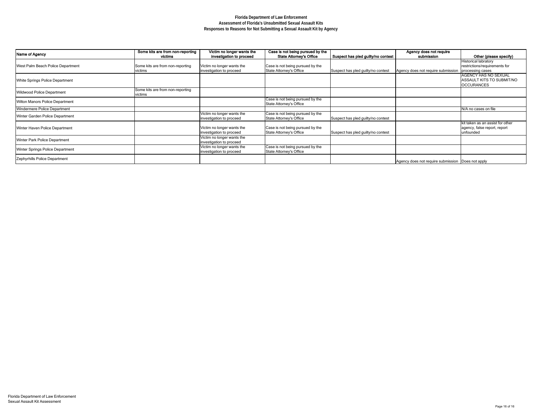| Case is not being pursued by the |                                    | Agency does not require            |                                  |
|----------------------------------|------------------------------------|------------------------------------|----------------------------------|
| <b>State Attorney's Office</b>   | Suspect has pled guilty/no contest | submission                         | Other (please specify)           |
|                                  |                                    |                                    | <b>Historical labratory</b>      |
| Case is not being pursued by the |                                    |                                    | restrictions/requirements for    |
| <b>State Attorney's Office</b>   | Suspect has pled guilty/no contest | Agency does not require submission | processing cases                 |
|                                  |                                    |                                    | <b>AGENCY HAS NO SEXUAL</b>      |
|                                  |                                    |                                    | <b>ASSAULT KITS TO SUBMIT/NO</b> |
|                                  |                                    |                                    | <b>OCCURANCES</b>                |
|                                  |                                    |                                    |                                  |
| Case is not being pursued by the |                                    |                                    |                                  |
| <b>State Attorney's Office</b>   |                                    |                                    |                                  |
|                                  |                                    |                                    | N/A no cases on file             |
| Case is not being pursued by the |                                    |                                    |                                  |
| State Attorney's Office          | Suspect has pled guilty/no contest |                                    |                                  |
|                                  |                                    |                                    | kit taken as an assist for other |
| Case is not being pursued by the |                                    |                                    | agency, false report, report     |
| <b>State Attorney's Office</b>   | Suspect has pled guilty/no contest |                                    | unfounded                        |
|                                  |                                    |                                    |                                  |
| Case is not being pursued by the |                                    |                                    |                                  |
| State Attorney's Office          |                                    |                                    |                                  |
|                                  |                                    |                                    |                                  |
|                                  |                                    | Agency does not require submission | Does not apply                   |

| Name of Agency                          | Some kits are from non-reporting | Victim no longer wants the | Case is not being pursued by the |                                    | Agency does not require                           |                             |
|-----------------------------------------|----------------------------------|----------------------------|----------------------------------|------------------------------------|---------------------------------------------------|-----------------------------|
|                                         | victims                          | investigation to proceed   | <b>State Attorney's Office</b>   | Suspect has pled guilty/no contest | submission                                        | Other (pleas                |
|                                         |                                  |                            |                                  |                                    |                                                   | <b>Historical labratory</b> |
| West Palm Beach Police Department       | Some kits are from non-reporting | Victim no longer wants the | Case is not being pursued by the |                                    |                                                   | restrictions/requiren       |
|                                         | victims                          | investigation to proceed   | State Attorney's Office          | Suspect has pled guilty/no contest | Agency does not require submission                | processing cases            |
|                                         |                                  |                            |                                  |                                    |                                                   | <b>AGENCY HAS NO</b>        |
| <b>White Springs Police Department</b>  |                                  |                            |                                  |                                    |                                                   | <b>ASSAULT KITS TO</b>      |
|                                         |                                  |                            |                                  |                                    |                                                   | <b>OCCURANCES</b>           |
|                                         | Some kits are from non-reporting |                            |                                  |                                    |                                                   |                             |
| <b>Wildwood Police Department</b>       | victims                          |                            |                                  |                                    |                                                   |                             |
| <b>Wilton Manors Police Department</b>  |                                  |                            | Case is not being pursued by the |                                    |                                                   |                             |
|                                         |                                  |                            | State Attorney's Office          |                                    |                                                   |                             |
| Windermere Police Department            |                                  |                            |                                  |                                    |                                                   | N/A no cases on file        |
| Winter Garden Police Department         |                                  | Victim no longer wants the | Case is not being pursued by the |                                    |                                                   |                             |
|                                         |                                  | investigation to proceed   | State Attorney's Office          | Suspect has pled guilty/no contest |                                                   |                             |
|                                         |                                  |                            |                                  |                                    |                                                   | kit taken as an assis       |
| <b>Winter Haven Police Department</b>   |                                  | Victim no longer wants the | Case is not being pursued by the |                                    |                                                   | agency, false report        |
|                                         |                                  | investigation to proceed   | State Attorney's Office          | Suspect has pled guilty/no contest |                                                   | unfounded                   |
|                                         |                                  | Victim no longer wants the |                                  |                                    |                                                   |                             |
| <b>Winter Park Police Department</b>    |                                  | investigation to proceed   |                                  |                                    |                                                   |                             |
|                                         |                                  | Victim no longer wants the | Case is not being pursued by the |                                    |                                                   |                             |
| <b>Winter Springs Police Department</b> |                                  | investigation to proceed   | State Attorney's Office          |                                    |                                                   |                             |
| Zephyrhills Police Department           |                                  |                            |                                  |                                    |                                                   |                             |
|                                         |                                  |                            |                                  |                                    | Agency does not require submission Does not apply |                             |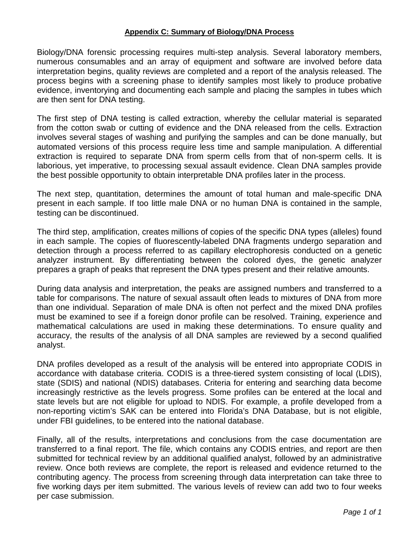#### **Appendix C: Summary of Biology/DNA Process**

Biology/DNA forensic processing requires multi-step analysis. Several laboratory members, numerous consumables and an array of equipment and software are involved before data interpretation begins, quality reviews are completed and a report of the analysis released. The process begins with a screening phase to identify samples most likely to produce probative evidence, inventorying and documenting each sample and placing the samples in tubes which are then sent for DNA testing.

The first step of DNA testing is called extraction, whereby the cellular material is separated from the cotton swab or cutting of evidence and the DNA released from the cells. Extraction involves several stages of washing and purifying the samples and can be done manually, but automated versions of this process require less time and sample manipulation. A differential extraction is required to separate DNA from sperm cells from that of non-sperm cells. It is laborious, yet imperative, to processing sexual assault evidence. Clean DNA samples provide the best possible opportunity to obtain interpretable DNA profiles later in the process.

The next step, quantitation, determines the amount of total human and male-specific DNA present in each sample. If too little male DNA or no human DNA is contained in the sample, testing can be discontinued.

The third step, amplification, creates millions of copies of the specific DNA types (alleles) found in each sample. The copies of fluorescently-labeled DNA fragments undergo separation and detection through a process referred to as capillary electrophoresis conducted on a genetic analyzer instrument. By differentiating between the colored dyes, the genetic analyzer prepares a graph of peaks that represent the DNA types present and their relative amounts.

During data analysis and interpretation, the peaks are assigned numbers and transferred to a table for comparisons. The nature of sexual assault often leads to mixtures of DNA from more than one individual. Separation of male DNA is often not perfect and the mixed DNA profiles must be examined to see if a foreign donor profile can be resolved. Training, experience and mathematical calculations are used in making these determinations. To ensure quality and accuracy, the results of the analysis of all DNA samples are reviewed by a second qualified analyst.

DNA profiles developed as a result of the analysis will be entered into appropriate CODIS in accordance with database criteria. CODIS is a three-tiered system consisting of local (LDIS), state (SDIS) and national (NDIS) databases. Criteria for entering and searching data become increasingly restrictive as the levels progress. Some profiles can be entered at the local and state levels but are not eligible for upload to NDIS. For example, a profile developed from a non-reporting victim's SAK can be entered into Florida's DNA Database, but is not eligible, under FBI guidelines, to be entered into the national database.

Finally, all of the results, interpretations and conclusions from the case documentation are transferred to a final report. The file, which contains any CODIS entries, and report are then submitted for technical review by an additional qualified analyst, followed by an administrative review. Once both reviews are complete, the report is released and evidence returned to the contributing agency. The process from screening through data interpretation can take three to five working days per item submitted. The various levels of review can add two to four weeks per case submission.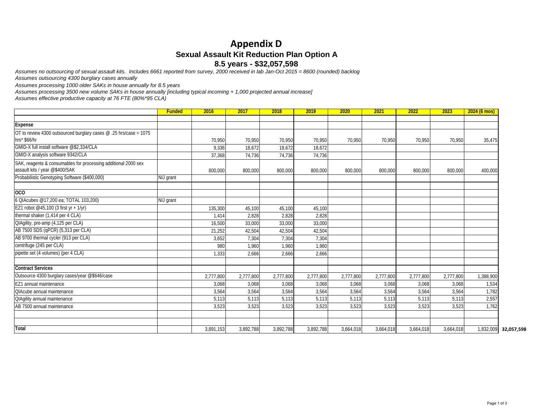# **Appendix D Sexual Assault Kit Reduction Plan Option A 8.5 years - \$32,057,598**

*Assumes outsourcing 4300 burglary cases annually Assumes no outsourcing of sexual assault kits. Includes 6661 reported from survey, 2000 received in lab Jan-Oct 2015 = 8600 (rounded) backlog*

*Assumes processing 1000 older SAKs in house annually for 8.5 years*

*Assumes processing 3500 new volume SAKs in house annually [including typical incoming + 1,000 projected annual increase]*

*Assumes effective productive capacity at 76 FTE (80%\*95 CLA)*

|                                                                   | <b>Funded</b> | 2016      | 2017      | 2018      | 2019      | 2020      | 2021      | 2022      | 2023      | $2024(6 \text{ mos})$   |
|-------------------------------------------------------------------|---------------|-----------|-----------|-----------|-----------|-----------|-----------|-----------|-----------|-------------------------|
|                                                                   |               |           |           |           |           |           |           |           |           |                         |
| <b>Expense</b>                                                    |               |           |           |           |           |           |           |           |           |                         |
| OT to review 4300 outsourced burglary cases @ .25 hrs/case = 1075 |               |           |           |           |           |           |           |           |           |                         |
| hrs* \$66/hr                                                      |               | 70,950    | 70,950    | 70,950    | 70,950    | 70,950    | 70,950    | 70,950    | 70,950    | 35,475                  |
| GMID-X full install software @\$2,334/CLA                         |               | 9,336     | 18,672    | 18,672    | 18,672    |           |           |           |           |                         |
| GMID-X analysis software 9342/CLA                                 |               | 37,368    | 74,736    | 74,736    | 74,736    |           |           |           |           |                         |
| SAK, reagents & consumables for processing additional 2000 sex    |               |           |           |           |           |           |           |           |           |                         |
| assault kits / year @\$400/SAK                                    |               | 800,000   | 800,000   | 800,000   | 800,000   | 800,000   | 800,000   | 800,000   | 800,000   | 400,000                 |
| Probabilistic Genotyping Software (\$400,000)                     | NIJ grant     |           |           |           |           |           |           |           |           |                         |
| 0 <sub>0</sub>                                                    |               |           |           |           |           |           |           |           |           |                         |
| 6 OIAcubes @17,200 ea; TOTAL 103,200)                             | NIJ grant     |           |           |           |           |           |           |           |           |                         |
| EZ1 robot @45,100 (3 first yr + 1/yr)                             |               | 135,300   | 45,100    | 45,100    | 45,100    |           |           |           |           |                         |
| thermal shaker (1,414 per 4 CLA)                                  |               | 1,414     | 2,828     | 2,828     | 2,828     |           |           |           |           |                         |
| QIAgility, pre-amp (4,125 per CLA)                                |               | 16,500    | 33,000    | 33,000    | 33,000    |           |           |           |           |                         |
| AB 7500 SDS (qPCR) (5,313 per CLA)                                |               | 21,252    | 42,504    | 42,504    | 42,504    |           |           |           |           |                         |
| AB 9700 thermal cycler (913 per CLA)                              |               | 3,652     | 7,304     | 7,304     | 7,304     |           |           |           |           |                         |
| centrifuge (245 per CLA)                                          |               | 980       | 1,960     | 1,960     | 1,960     |           |           |           |           |                         |
| pipette set (4 volumes) (per 4 CLA)                               |               | 1,333     | 2,666     | 2,666     | 2,666     |           |           |           |           |                         |
| <b>Contract Services</b>                                          |               |           |           |           |           |           |           |           |           |                         |
| Outsource 4300 burglary cases/year @\$646/case                    |               | 2,777,800 | 2,777,800 | 2,777,800 | 2,777,800 | 2,777,800 | 2,777,800 | 2,777,800 | 2,777,800 | 1,388,900               |
| EZ1 annual maintenance                                            |               | 3,068     | 3,068     | 3,068     | 3,068     | 3,068     | 3,068     | 3,068     | 3,068     | 1,534                   |
| QIAcube annual maintenance                                        |               | 3,564     | 3,564     | 3,564     | 3,564     | 3,564     | 3,564     | 3,564     | 3,564     | 1,782                   |
| <b>QIAgility annual maintenance</b>                               |               | 5,113     | 5,113     | 5,113     | 5,113     | 5,113     | 5,113     | 5,113     | 5,113     | 2,557                   |
| AB 7500 annual maintenance                                        |               | 3,523     | 3,523     | 3,523     | 3,523     | 3,523     | 3,523     | 3,523     | 3,523     | 1,762                   |
|                                                                   |               |           |           |           |           |           |           |           |           |                         |
| <b>Total</b>                                                      |               | 3,891,153 | 3,892,788 | 3,892,788 | 3,892,788 | 3,664,018 | 3,664,018 | 3,664,018 | 3,664,018 | 1,832,009<br>32,057,598 |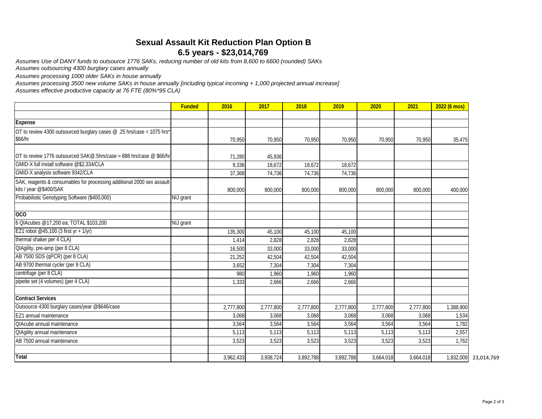# **Sexual Assault Kit Reduction Plan Option B 6.5 years - \$23,014,769**

*Assumes Use of DANY funds to outsource 1776 SAKs, reducing number of old kits from 8,600 to 6600 (rounded) SAKs*

*Assumes outsourcing 4300 burglary cases annually*

*Assumes processing 1000 older SAKs in house annually*

*Assumes processing 3500 new volume SAKs in house annually [including typical incoming + 1,000 projected annual increase]*

*Assumes effective productive capacity at 76 FTE (80%\*95 CLA)*

|                                                                                                  | <b>Funded</b> | 2016      | 2017      | 2018      | 2019      | 2020      | 2021      | 2022 (6 mos) |            |
|--------------------------------------------------------------------------------------------------|---------------|-----------|-----------|-----------|-----------|-----------|-----------|--------------|------------|
|                                                                                                  |               |           |           |           |           |           |           |              |            |
| Expense                                                                                          |               |           |           |           |           |           |           |              |            |
| OT to review 4300 outsourced burglary cases @ .25 hrs/case = 1075 hrs*                           |               |           |           |           |           |           |           |              |            |
| \$66/hr                                                                                          |               | 70,950    | 70,950    | 70,950    | 70,950    | 70,950    | 70,950    | 35,475       |            |
| OT to review 1776 outsourced SAK@.5hrs/case = 888 hrs/case @ \$66/hr                             |               | 71,280    | 45,936    |           |           |           |           |              |            |
| GMID-X full install software @\$2,334/CLA                                                        |               | 9,336     | 18,672    | 18,672    | 18,672    |           |           |              |            |
| GMID-X analysis software 9342/CLA                                                                |               | 37,368    | 74,736    | 74,736    | 74,736    |           |           |              |            |
| SAK, reagents & consumables for processing additional 2000 sex assault<br>kits / year @\$400/SAK |               | 800,000   | 800,000   | 800,000   | 800,000   | 800,000   | 800,000   | 400,000      |            |
| Probabilistic Genotyping Software (\$400,000)                                                    | NIJ grant     |           |           |           |           |           |           |              |            |
| OCO                                                                                              |               |           |           |           |           |           |           |              |            |
| 6 OlAcubes @17,200 ea; TOTAL \$103,200                                                           | NIJ grant     |           |           |           |           |           |           |              |            |
| EZ1 robot $@45,100$ (3 first yr + 1/yr)                                                          |               | 135,300   | 45,100    | 45,100    | 45,100    |           |           |              |            |
| thermal shaker per 4 CLA)                                                                        |               | 1,414     | 2,828     | 2,828     | 2,828     |           |           |              |            |
| QIAgility, pre-amp (per 8 CLA)                                                                   |               | 16,500    | 33,000    | 33,000    | 33,000    |           |           |              |            |
| AB 7500 SDS (qPCR) (per 8 CLA)                                                                   |               | 21,252    | 42,504    | 42,504    | 42,504    |           |           |              |            |
| AB 9700 thermal cycler (per 8 CLA)                                                               |               | 3,652     | 7,304     | 7,304     | 7,304     |           |           |              |            |
| centrifuge (per 8 CLA)                                                                           |               | 980       | 1,960     | 1,960     | 1,960     |           |           |              |            |
| pipette set (4 volumes) (per 4 CLA)                                                              |               | 1,333     | 2,666     | 2,666     | 2,666     |           |           |              |            |
| <b>Contract Services</b>                                                                         |               |           |           |           |           |           |           |              |            |
| Outsource 4300 burglary cases/year @\$646/case                                                   |               | 2,777,800 | 2,777,800 | 2,777,800 | 2,777,800 | 2,777,800 | 2,777,800 | 1,388,900    |            |
| EZ1 annual maintenance                                                                           |               | 3,068     | 3,068     | 3,068     | 3,068     | 3,068     | 3,068     | 1,534        |            |
| <b>QIAcube annual maintenance</b>                                                                |               | 3,564     | 3,564     | 3,564     | 3,564     | 3,564     | 3,564     | 1,782        |            |
| <b>QIAgility annual maintenance</b>                                                              |               | 5,113     | 5,113     | 5,113     | 5,113     | 5,113     | 5,113     | 2,557        |            |
| AB 7500 annual maintenance                                                                       |               | 3,523     | 3,523     | 3,523     | 3,523     | 3,523     | 3,523     | 1,762        |            |
| <b>Total</b>                                                                                     |               | 3,962,433 | 3,938,724 | 3,892,788 | 3,892,788 | 3,664,018 | 3,664,018 | 1,832,009    | 23,014,769 |